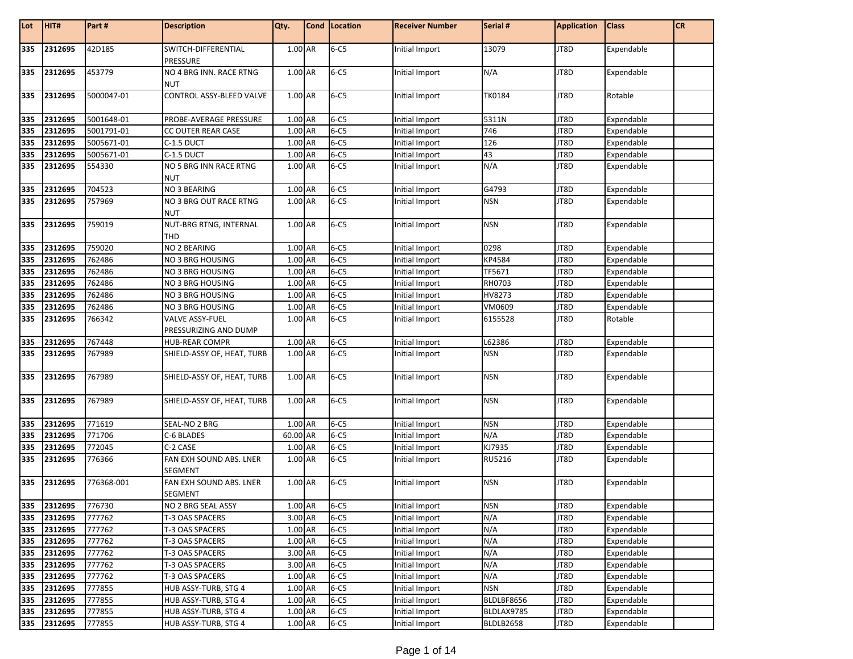| Lot        | HIT#        | Part#            | <b>Description</b>                     | Qty.               | Cond   Location      | <b>Receiver Number</b> | Serial #            | <b>Application</b> | <b>Class</b> | <b>CR</b> |
|------------|-------------|------------------|----------------------------------------|--------------------|----------------------|------------------------|---------------------|--------------------|--------------|-----------|
|            |             |                  |                                        |                    |                      |                        |                     |                    |              |           |
| 335        | 2312695     | 42D185           | SWITCH-DIFFERENTIAL                    | $1.00$ AR          | $6 - C5$             | Initial Import         | 13079               | JT8D               | Expendable   |           |
|            |             |                  | PRESSURE                               |                    |                      |                        |                     |                    |              |           |
| 335        | 2312695     | 453779           | NO 4 BRG INN. RACE RTNG                | 1.00 AR            | $6 - C5$             | Initial Import         | N/A                 | JT8D               | Expendable   |           |
|            |             |                  | <b>NUT</b>                             |                    |                      |                        |                     |                    |              |           |
| 335        | 2312695     | 5000047-01       | CONTROL ASSY-BLEED VALVE               | 1.00 AR            | $6 - C5$             | Initial Import         | <b>TK0184</b>       | JT8D               | Rotable      |           |
|            |             |                  |                                        |                    |                      |                        |                     |                    |              |           |
| 335        | 2312695     | 5001648-01       | PROBE-AVERAGE PRESSURE                 | 1.00 AR            | $6 - C5$             | Initial Import         | 5311N               | JT8D               | Expendable   |           |
| 335        | 2312695     | 5001791-01       | CC OUTER REAR CASE                     | 1.00 AR            | $6 - C5$             | Initial Import         | 746                 | JT8D               | Expendable   |           |
| 335        | 2312695     | 5005671-01       | C-1.5 DUCT                             | 1.00 AR            | $6-C5$               | Initial Import         | 126                 | JT8D               | Expendable   |           |
| 335        | 2312695     | 5005671-01       | C-1.5 DUCT                             | 1.00 AR            | $6-C5$               | Initial Import         | 43                  | JT8D               | Expendable   |           |
| 335        | 2312695     | 554330           | NO 5 BRG INN RACE RTNG                 | 1.00 AR            | $6 - C5$             | Initial Import         | N/A                 | JT8D               | Expendable   |           |
|            |             |                  | <b>NUT</b>                             |                    |                      |                        |                     |                    |              |           |
| 335<br>335 | 2312695     | 704523<br>757969 | NO 3 BEARING<br>NO 3 BRG OUT RACE RTNG | 1.00 AR<br>1.00 AR | $6 - C5$<br>$6 - C5$ | Initial Import         | G4793<br><b>NSN</b> | JT8D               | Expendable   |           |
|            | 2312695     |                  | <b>NUT</b>                             |                    |                      | Initial Import         |                     | JT8D               | Expendable   |           |
| 335        | 2312695     | 759019           | NUT-BRG RTNG, INTERNAL                 | 1.00 AR            | $6 - C5$             | Initial Import         | <b>NSN</b>          | JT8D               | Expendable   |           |
|            |             |                  | THD                                    |                    |                      |                        |                     |                    |              |           |
| 335        | 2312695     | 759020           | NO 2 BEARING                           | 1.00 AR            | $6 - C5$             | Initial Import         | 0298                | JT8D               | Expendable   |           |
| 335        | 2312695     | 762486           | NO 3 BRG HOUSING                       | 1.00 AR            | $6 - C5$             | Initial Import         | KP4584              | JT8D               | Expendable   |           |
| 335        | 2312695     | 762486           | NO 3 BRG HOUSING                       | 1.00 AR            | $6 - C5$             | Initial Import         | TF5671              | JT8D               | Expendable   |           |
| 335        | 2312695     | 762486           | NO 3 BRG HOUSING                       | 1.00 AR            | $6 - C5$             | Initial Import         | RH0703              | JT8D               | Expendable   |           |
| 335        | 2312695     | 762486           | NO 3 BRG HOUSING                       | 1.00 AR            | $6 - C5$             | Initial Import         | HV8273              | JT8D               | Expendable   |           |
| 335        | 2312695     | 762486           | NO 3 BRG HOUSING                       | 1.00 AR            | $6 - C5$             | Initial Import         | VM0609              | JT8D               | Expendable   |           |
| 335        | 2312695     | 766342           | VALVE ASSY-FUEL                        | 1.00 AR            | $6 - C5$             | Initial Import         | 6155528             | JT8D               | Rotable      |           |
|            |             |                  | PRESSURIZING AND DUMP                  |                    |                      |                        |                     |                    |              |           |
| 335        | 2312695     | 767448           | <b>HUB-REAR COMPR</b>                  | 1.00 AR            | $6 - C5$             | Initial Import         | L62386              | JT8D               | Expendable   |           |
| 335        | 2312695     | 767989           | SHIELD-ASSY OF, HEAT, TURB             | 1.00 AR            | $6 - C5$             | Initial Import         | <b>NSN</b>          | JT8D               | Expendable   |           |
|            |             |                  |                                        |                    |                      |                        |                     |                    |              |           |
| 335        | 2312695     | 767989           | SHIELD-ASSY OF, HEAT, TURB             | 1.00 AR            | $6 - C5$             | Initial Import         | <b>NSN</b>          | JT8D               | Expendable   |           |
|            |             |                  |                                        |                    |                      |                        |                     |                    |              |           |
| 335        | 2312695     | 767989           | SHIELD-ASSY OF, HEAT, TURB             | 1.00 AR            | $6 - C5$             | Initial Import         | <b>NSN</b>          | JT8D               | Expendable   |           |
|            |             |                  |                                        |                    |                      |                        |                     |                    |              |           |
| 335        | 2312695     | 771619           | SEAL-NO 2 BRG                          | 1.00 AR            | $6 - C5$             | Initial Import         | <b>NSN</b>          | JT8D               | Expendable   |           |
| 335        | 2312695     | 771706           | C-6 BLADES                             | 60.00 AR           | $6 - C5$             | Initial Import         | N/A                 | JT8D               | Expendable   |           |
| 335        | 2312695     | 772045           | C-2 CASE                               | 1.00 AR            | $6 - C5$             | Initial Import         | KJ7935              | JT8D               | Expendable   |           |
| 335        | 2312695     | 776366           | FAN EXH SOUND ABS. LNER                | 1.00 AR            | $6 - C5$             | Initial Import         | RU5216              | JT8D               | Expendable   |           |
|            |             |                  | SEGMENT                                |                    |                      |                        |                     |                    |              |           |
| 335        | 2312695     | 776368-001       | FAN EXH SOUND ABS. LNER                | 1.00 AR            | $6 - C5$             | Initial Import         | <b>NSN</b>          | JT8D               | Expendable   |           |
|            |             |                  | SEGMENT                                |                    |                      |                        |                     |                    |              |           |
|            | 335 2312695 | 776730           | NO 2 BRG SEAL ASSY                     | 1.00 AR            | $6 - C5$             | Initial Import         | <b>NSN</b>          | JT8D               | Expendable   |           |
|            | 335 2312695 | 777762           | T-3 OAS SPACERS                        | 3.00 AR            | $6 - C5$             | Initial Import         | N/A                 | JT8D               | Expendable   |           |
|            | 335 2312695 | 777762           | T-3 OAS SPACERS                        | 1.00 AR            | $6 - C5$             | Initial Import         | N/A                 | JT8D               | Expendable   |           |
|            | 335 2312695 | 777762           | T-3 OAS SPACERS                        | 1.00 AR            | $6 - C5$             | Initial Import         | N/A                 | JT8D               | Expendable   |           |
| 335        | 2312695     | 777762           | T-3 OAS SPACERS                        | 3.00 AR            | $6 - C5$             | Initial Import         | N/A                 | JT8D               | Expendable   |           |
| 335        | 2312695     | 777762           | T-3 OAS SPACERS                        | 3.00 AR            | $6 - C5$             | Initial Import         | N/A                 | JT8D               | Expendable   |           |
|            | 335 2312695 | 777762           | T-3 OAS SPACERS                        | 1.00 AR            | $6 - C5$             | Initial Import         | N/A                 | JT8D               | Expendable   |           |
|            | 335 2312695 | 777855           | HUB ASSY-TURB, STG 4                   | 1.00 AR            | $6 - C5$             | Initial Import         | <b>NSN</b>          | JT8D               | Expendable   |           |
| 335        | 2312695     | 777855           | HUB ASSY-TURB, STG 4                   | 1.00 AR            | $6 - C5$             | Initial Import         | BLDLBF8656          | JT8D               | Expendable   |           |
|            | 335 2312695 | 777855           | HUB ASSY-TURB, STG 4                   | 1.00 AR            | $6 - C5$             | Initial Import         | BLDLAX9785          | JT8D               | Expendable   |           |
|            | 335 2312695 | 777855           | HUB ASSY-TURB, STG 4                   | 1.00 AR            | $6 - C5$             | Initial Import         | BLDLB2658           | JT8D               | Expendable   |           |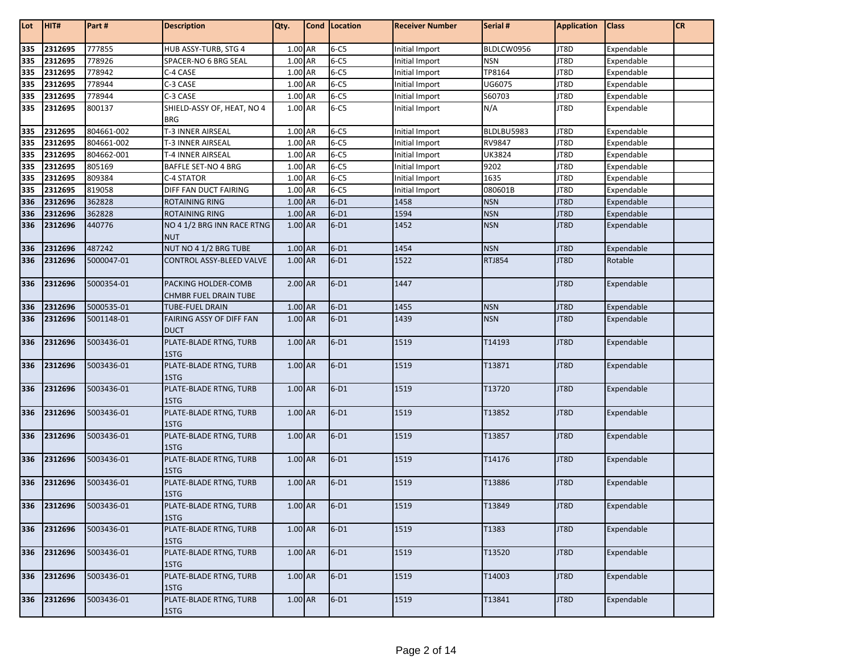| Lot | HIT#    | Part#      | <b>Description</b>                           | Qty.    | Cond Location | <b>Receiver Number</b> | Serial #      | <b>Application</b> | <b>Class</b> | <b>CR</b> |
|-----|---------|------------|----------------------------------------------|---------|---------------|------------------------|---------------|--------------------|--------------|-----------|
| 335 | 2312695 | 777855     | HUB ASSY-TURB, STG 4                         | 1.00 AR | $6 - C5$      | Initial Import         | BLDLCW0956    | JT8D               | Expendable   |           |
| 335 | 2312695 | 778926     | SPACER-NO 6 BRG SEAL                         | 1.00 AR | $6 - C5$      | Initial Import         | <b>NSN</b>    | JT8D               | Expendable   |           |
| 335 | 2312695 | 778942     | C-4 CASE                                     | 1.00 AR | $6 - C5$      | Initial Import         | TP8164        | JT8D               | Expendable   |           |
| 335 | 2312695 | 778944     | C-3 CASE                                     | 1.00 AR | $6-C5$        | Initial Import         | UG6075        | JT8D               | Expendable   |           |
| 335 | 2312695 | 778944     | C-3 CASE                                     | 1.00 AR | $6 - C5$      | Initial Import         | S60703        | JT8D               | Expendable   |           |
| 335 | 2312695 | 800137     | SHIELD-ASSY OF, HEAT, NO 4                   | 1.00 AR | $6 - C5$      | Initial Import         | N/A           | JT8D               | Expendable   |           |
|     |         |            | <b>BRG</b>                                   |         |               |                        |               |                    |              |           |
| 335 | 2312695 | 804661-002 | T-3 INNER AIRSEAL                            | 1.00 AR | $6 - C5$      | Initial Import         | BLDLBU5983    | JT8D               | Expendable   |           |
| 335 | 2312695 | 804661-002 | T-3 INNER AIRSEAL                            | 1.00 AR | $6 - C5$      | Initial Import         | RV9847        | JT8D               | Expendable   |           |
| 335 | 2312695 | 804662-001 | T-4 INNER AIRSEAL                            | 1.00 AR | $6 - C5$      | Initial Import         | <b>UK3824</b> | JT8D               | Expendable   |           |
| 335 | 2312695 | 805169     | BAFFLE SET-NO 4 BRG                          | 1.00 AR | $6 - C5$      | Initial Import         | 9202          | JT8D               | Expendable   |           |
| 335 | 2312695 | 809384     | C-4 STATOR                                   | 1.00 AR | $6-C5$        | Initial Import         | 1635          | JT8D               | Expendable   |           |
| 335 | 2312695 | 819058     | DIFF FAN DUCT FAIRING                        | 1.00 AR | $6 - C5$      | Initial Import         | 080601B       | JT8D               | Expendable   |           |
| 336 | 2312696 | 362828     | <b>ROTAINING RING</b>                        | 1.00 AR | $6-D1$        | 1458                   | <b>NSN</b>    | JT8D               | Expendable   |           |
| 336 | 2312696 | 362828     | <b>ROTAINING RING</b>                        | 1.00 AR | $6-D1$        | 1594                   | <b>NSN</b>    | JT8D               | Expendable   |           |
| 336 | 2312696 | 440776     | NO 4 1/2 BRG INN RACE RTNG<br><b>NUT</b>     | 1.00 AR | $6-D1$        | 1452                   | <b>NSN</b>    | JT8D               | Expendable   |           |
| 336 | 2312696 | 487242     | NUT NO 4 1/2 BRG TUBE                        | 1.00 AR | $6-D1$        | 1454                   | <b>NSN</b>    | JT8D               | Expendable   |           |
| 336 | 2312696 | 5000047-01 | CONTROL ASSY-BLEED VALVE                     | 1.00 AR | $6-D1$        | 1522                   | <b>RTJ854</b> | JT8D               | Rotable      |           |
| 336 | 2312696 | 5000354-01 | PACKING HOLDER-COMB<br>CHMBR FUEL DRAIN TUBE | 2.00 AR | $6-D1$        | 1447                   |               | JT8D               | Expendable   |           |
| 336 | 2312696 | 5000535-01 | TUBE-FUEL DRAIN                              | 1.00 AR | $6-D1$        | 1455                   | <b>NSN</b>    | JT8D               | Expendable   |           |
| 336 | 2312696 | 5001148-01 | FAIRING ASSY OF DIFF FAN<br><b>DUCT</b>      | 1.00 AR | $6-D1$        | 1439                   | <b>NSN</b>    | JT8D               | Expendable   |           |
| 336 | 2312696 | 5003436-01 | PLATE-BLADE RTNG, TURB<br>1STG               | 1.00 AR | $6-D1$        | 1519                   | T14193        | JT8D               | Expendable   |           |
| 336 | 2312696 | 5003436-01 | PLATE-BLADE RTNG, TURB<br>1STG               | 1.00 AR | $6-D1$        | 1519                   | T13871        | JT8D               | Expendable   |           |
| 336 | 2312696 | 5003436-01 | PLATE-BLADE RTNG, TURB<br>1STG               | 1.00 AR | $6-D1$        | 1519                   | T13720        | JT8D               | Expendable   |           |
| 336 | 2312696 | 5003436-01 | PLATE-BLADE RTNG, TURB                       | 1.00 AR | $6-D1$        | 1519                   | T13852        | JT8D               | Expendable   |           |
|     |         |            | 1STG                                         |         |               |                        |               |                    |              |           |
| 336 | 2312696 | 5003436-01 | PLATE-BLADE RTNG, TURB<br>1STG               | 1.00 AR | $6-D1$        | 1519                   | T13857        | JT8D               | Expendable   |           |
| 336 | 2312696 | 5003436-01 | PLATE-BLADE RTNG, TURB<br>1STG               | 1.00 AR | $6-D1$        | 1519                   | T14176        | JT8D               | Expendable   |           |
| 336 | 2312696 | 5003436-01 | PLATE-BLADE RTNG, TURB<br>1STG               | 1.00 AR | $6-D1$        | 1519                   | T13886        | JT8D               | Expendable   |           |
| 336 | 2312696 | 5003436-01 | PLATE-BLADE RTNG, TURB<br>1STG               | 1.00 AR | $6-D1$        | 1519                   | T13849        | JT8D               | Expendable   |           |
| 336 | 2312696 | 5003436-01 | PLATE-BLADE RTNG, TURB<br>1STG               | 1.00 AR | $6-D1$        | 1519                   | T1383         | JT8D               | Expendable   |           |
| 336 | 2312696 | 5003436-01 | PLATE-BLADE RTNG, TURB<br>1STG               | 1.00 AR | $6-D1$        | 1519                   | T13520        | JT8D               | Expendable   |           |
| 336 | 2312696 | 5003436-01 | PLATE-BLADE RTNG, TURB<br>1STG               | 1.00 AR | $6-D1$        | 1519                   | T14003        | JT8D               | Expendable   |           |
| 336 | 2312696 | 5003436-01 | PLATE-BLADE RTNG, TURB<br>1STG               | 1.00 AR | $6-D1$        | 1519                   | T13841        | JT8D               | Expendable   |           |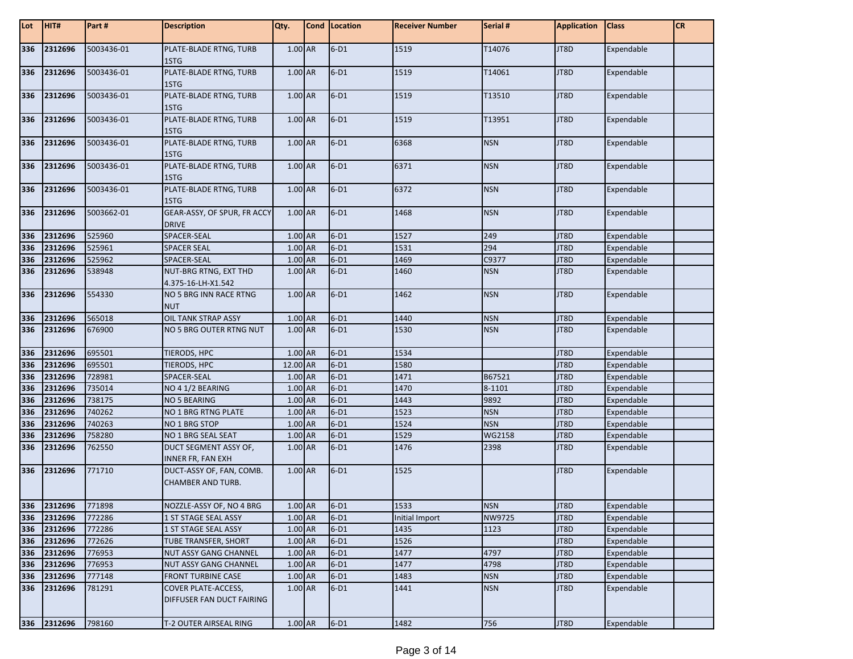| Lot | HIT#        | Part#      | <b>Description</b>                                   | Qty.     | Cond   Location | <b>Receiver Number</b> | Serial #      | <b>Application</b> | <b>Class</b> | <b>CR</b> |
|-----|-------------|------------|------------------------------------------------------|----------|-----------------|------------------------|---------------|--------------------|--------------|-----------|
| 336 | 2312696     | 5003436-01 | PLATE-BLADE RTNG, TURB<br>1STG                       | 1.00 AR  | $6-D1$          | 1519                   | T14076        | JT8D               | Expendable   |           |
| 336 | 2312696     | 5003436-01 | PLATE-BLADE RTNG, TURB<br>1STG                       | 1.00 AR  | $6-D1$          | 1519                   | T14061        | JT8D               | Expendable   |           |
| 336 | 2312696     | 5003436-01 | PLATE-BLADE RTNG, TURB<br>1STG                       | 1.00 AR  | $6-D1$          | 1519                   | T13510        | JT8D               | Expendable   |           |
| 336 | 2312696     | 5003436-01 | PLATE-BLADE RTNG, TURB<br>1STG                       | 1.00 AR  | $6-D1$          | 1519                   | T13951        | JT8D               | Expendable   |           |
| 336 | 2312696     | 5003436-01 | PLATE-BLADE RTNG, TURB<br>1STG                       | 1.00 AR  | $6-D1$          | 6368                   | <b>NSN</b>    | JT8D               | Expendable   |           |
| 336 | 2312696     | 5003436-01 | PLATE-BLADE RTNG, TURB<br>1STG                       | 1.00 AR  | $6-D1$          | 6371                   | <b>NSN</b>    | JT8D               | Expendable   |           |
| 336 | 2312696     | 5003436-01 | PLATE-BLADE RTNG, TURB<br>1STG                       | 1.00 AR  | $6-D1$          | 6372                   | <b>NSN</b>    | JT8D               | Expendable   |           |
| 336 | 2312696     | 5003662-01 | GEAR-ASSY, OF SPUR, FR ACCY<br><b>DRIVE</b>          | 1.00 AR  | $6-D1$          | 1468                   | <b>NSN</b>    | JT8D               | Expendable   |           |
| 336 | 2312696     | 525960     | SPACER-SEAL                                          | 1.00 AR  | $6-D1$          | 1527                   | 249           | JT8D               | Expendable   |           |
| 336 | 2312696     | 525961     | <b>SPACER SEAL</b>                                   | 1.00 AR  | $6-D1$          | 1531                   | 294           | JT8D               | Expendable   |           |
| 336 | 2312696     | 525962     | SPACER-SEAL                                          | 1.00 AR  | $6-D1$          | 1469                   | C9377         | JT8D               | Expendable   |           |
| 336 | 2312696     | 538948     | NUT-BRG RTNG, EXT THD<br>4.375-16-LH-X1.542          | 1.00 AR  | $6-D1$          | 1460                   | <b>NSN</b>    | JT8D               | Expendable   |           |
| 336 | 2312696     | 554330     | NO 5 BRG INN RACE RTNG<br><b>NUT</b>                 | 1.00 AR  | $6-D1$          | 1462                   | <b>NSN</b>    | JT8D               | Expendable   |           |
| 336 | 2312696     | 565018     | OIL TANK STRAP ASSY                                  | 1.00 AR  | $6-D1$          | 1440                   | <b>NSN</b>    | JT8D               | Expendable   |           |
| 336 | 2312696     | 676900     | NO 5 BRG OUTER RTNG NUT                              | 1.00 AR  | $6-D1$          | 1530                   | <b>NSN</b>    | JT8D               | Expendable   |           |
| 336 | 2312696     | 695501     | TIERODS, HPC                                         | 1.00 AR  | $6-D1$          | 1534                   |               | JT8D               | Expendable   |           |
| 336 | 2312696     | 695501     | TIERODS, HPC                                         | 12.00 AR | $6-D1$          | 1580                   |               | JT8D               | Expendable   |           |
| 336 | 2312696     | 728981     | SPACER-SEAL                                          | 1.00 AR  | $6-D1$          | 1471                   | B67521        | JT8D               | Expendable   |           |
| 336 | 2312696     | 735014     | NO 4 1/2 BEARING                                     | 1.00 AR  | $6-D1$          | 1470                   | 8-1101        | JT8D               | Expendable   |           |
| 336 | 2312696     | 738175     | <b>NO 5 BEARING</b>                                  | 1.00 AR  | $6-D1$          | 1443                   | 9892          | JT8D               | Expendable   |           |
| 336 | 2312696     | 740262     | NO 1 BRG RTNG PLATE                                  | 1.00 AR  | $6-D1$          | 1523                   | <b>NSN</b>    | JT8D               | Expendable   |           |
| 336 | 2312696     | 740263     | NO 1 BRG STOP                                        | 1.00 AR  | $6-D1$          | 1524                   | <b>NSN</b>    | JT8D               | Expendable   |           |
| 336 | 2312696     | 758280     | NO 1 BRG SEAL SEAT                                   | 1.00 AR  | $6-D1$          | 1529                   | <b>WG2158</b> | JT8D               | Expendable   |           |
| 336 | 2312696     | 762550     | DUCT SEGMENT ASSY OF,<br>INNER FR, FAN EXH           | 1.00 AR  | $6-D1$          | 1476                   | 2398          | JT8D               | Expendable   |           |
| 336 | 2312696     | 771710     | DUCT-ASSY OF, FAN, COMB.<br><b>CHAMBER AND TURB.</b> | 1.00 AR  | $6-D1$          | 1525                   |               | JT8D               | Expendable   |           |
|     | 336 2312696 | 771898     | NOZZLE-ASSY OF, NO 4 BRG                             | 1.00 AR  | $6-D1$          | 1533                   | <b>NSN</b>    | JT8D               | Expendable   |           |
| 336 | 2312696     | 772286     | 1 ST STAGE SEAL ASSY                                 | 1.00 AR  | $6-D1$          | Initial Import         | NW9725        | JT8D               | Expendable   |           |
| 336 | 2312696     | 772286     | 1 ST STAGE SEAL ASSY                                 | 1.00 AR  | $6-D1$          | 1435                   | 1123          | JT8D               | Expendable   |           |
| 336 | 2312696     | 772626     | TUBE TRANSFER, SHORT                                 | 1.00 AR  | $6-D1$          | 1526                   |               | JT8D               | Expendable   |           |
| 336 | 2312696     | 776953     | NUT ASSY GANG CHANNEL                                | 1.00 AR  | $6-D1$          | 1477                   | 4797          | JT8D               | Expendable   |           |
| 336 | 2312696     | 776953     | NUT ASSY GANG CHANNEL                                | 1.00 AR  | $6-D1$          | 1477                   | 4798          | JT8D               | Expendable   |           |
| 336 | 2312696     | 777148     | <b>FRONT TURBINE CASE</b>                            | 1.00 AR  | $6-D1$          | 1483                   | <b>NSN</b>    | JT8D               | Expendable   |           |
| 336 | 2312696     | 781291     | COVER PLATE-ACCESS,<br>DIFFUSER FAN DUCT FAIRING     | 1.00 AR  | $6-D1$          | 1441                   | <b>NSN</b>    | JT8D               | Expendable   |           |
|     | 336 2312696 | 798160     | T-2 OUTER AIRSEAL RING                               | 1.00 AR  | $6-D1$          | 1482                   | 756           | JT8D               | Expendable   |           |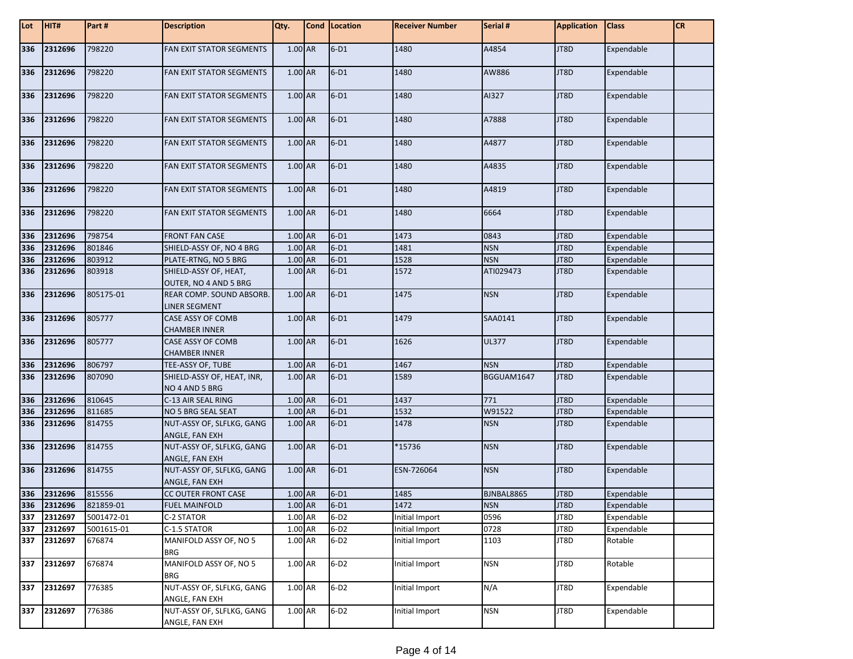| Lot | HIT#        | Part#      | <b>Description</b>                               | Qty.      | Cond Location | <b>Receiver Number</b> | Serial #   | <b>Application</b> | <b>Class</b> | <b>CR</b> |
|-----|-------------|------------|--------------------------------------------------|-----------|---------------|------------------------|------------|--------------------|--------------|-----------|
| 336 | 2312696     | 798220     | <b>FAN EXIT STATOR SEGMENTS</b>                  | 1.00 AR   | $6-D1$        | 1480                   | A4854      | JT8D               | Expendable   |           |
| 336 | 2312696     | 798220     | <b>FAN EXIT STATOR SEGMENTS</b>                  | 1.00 AR   | $6-D1$        | 1480                   | AW886      | JT8D               | Expendable   |           |
| 336 | 2312696     | 798220     | <b>FAN EXIT STATOR SEGMENTS</b>                  | $1.00$ AR | $6-D1$        | 1480                   | AI327      | JT8D               | Expendable   |           |
| 336 | 2312696     | 798220     | <b>FAN EXIT STATOR SEGMENTS</b>                  | 1.00 AR   | $6-D1$        | 1480                   | A7888      | JT8D               | Expendable   |           |
| 336 | 2312696     | 798220     | <b>FAN EXIT STATOR SEGMENTS</b>                  | 1.00 AR   | $6-D1$        | 1480                   | A4877      | JT8D               | Expendable   |           |
| 336 | 2312696     | 798220     | <b>FAN EXIT STATOR SEGMENTS</b>                  | 1.00 AR   | $6-D1$        | 1480                   | A4835      | JT8D               | Expendable   |           |
| 336 | 2312696     | 798220     | <b>FAN EXIT STATOR SEGMENTS</b>                  | 1.00 AR   | $6-D1$        | 1480                   | A4819      | JT8D               | Expendable   |           |
| 336 | 2312696     | 798220     | <b>FAN EXIT STATOR SEGMENTS</b>                  | 1.00 AR   | $6-D1$        | 1480                   | 6664       | JT8D               | Expendable   |           |
| 336 | 2312696     | 798754     | <b>FRONT FAN CASE</b>                            | 1.00 AR   | $6-D1$        | 1473                   | 0843       | JT8D               | Expendable   |           |
| 336 | 2312696     | 801846     | SHIELD-ASSY OF, NO 4 BRG                         | 1.00 AR   | $6-D1$        | 1481                   | <b>NSN</b> | JT8D               | Expendable   |           |
| 336 | 2312696     | 803912     | PLATE-RTNG, NO 5 BRG                             | 1.00 AR   | $6-D1$        | 1528                   | <b>NSN</b> | JT8D               | Expendable   |           |
| 336 | 2312696     | 803918     | SHIELD-ASSY OF, HEAT,<br>OUTER, NO 4 AND 5 BRG   | 1.00 AR   | $6-D1$        | 1572                   | ATI029473  | JT8D               | Expendable   |           |
| 336 | 2312696     | 805175-01  | REAR COMP. SOUND ABSORB.<br>LINER SEGMENT        | 1.00 AR   | $6-D1$        | 1475                   | <b>NSN</b> | JT8D               | Expendable   |           |
| 336 | 2312696     | 805777     | CASE ASSY OF COMB<br><b>CHAMBER INNER</b>        | 1.00 AR   | $6-D1$        | 1479                   | SAA0141    | JT8D               | Expendable   |           |
| 336 | 2312696     | 805777     | <b>CASE ASSY OF COMB</b><br><b>CHAMBER INNER</b> | 1.00 AR   | $6-D1$        | 1626                   | UL377      | JT8D               | Expendable   |           |
| 336 | 2312696     | 806797     | TEE-ASSY OF, TUBE                                | 1.00 AR   | $6-D1$        | 1467                   | <b>NSN</b> | JT8D               | Expendable   |           |
| 336 | 2312696     | 807090     | SHIELD-ASSY OF, HEAT, INR,<br>NO 4 AND 5 BRG     | 1.00 AR   | $6-D1$        | 1589                   | BGGUAM1647 | JT8D               | Expendable   |           |
| 336 | 2312696     | 810645     | C-13 AIR SEAL RING                               | 1.00 AR   | $6-D1$        | 1437                   | 771        | JT8D               | Expendable   |           |
| 336 | 2312696     | 811685     | NO 5 BRG SEAL SEAT                               | 1.00 AR   | $6-D1$        | 1532                   | W91522     | JT8D               | Expendable   |           |
| 336 | 2312696     | 814755     | NUT-ASSY OF, SLFLKG, GANG<br>ANGLE, FAN EXH      | 1.00 AR   | $6-D1$        | 1478                   | <b>NSN</b> | JT8D               | Expendable   |           |
| 336 | 2312696     | 814755     | NUT-ASSY OF, SLFLKG, GANG<br>ANGLE, FAN EXH      | 1.00 AR   | $6-D1$        | *15736                 | <b>NSN</b> | JT8D               | Expendable   |           |
| 336 | 2312696     | 814755     | NUT-ASSY OF, SLFLKG, GANG<br>ANGLE, FAN EXH      | 1.00 AR   | $6-D1$        | ESN-726064             | <b>NSN</b> | JT8D               | Expendable   |           |
| 336 | 2312696     | 815556     | CC OUTER FRONT CASE                              | 1.00 AR   | $6-D1$        | 1485                   | BJNBAL8865 | JT8D               | Expendable   |           |
|     | 336 2312696 | 821859-01  | <b>FUEL MAINFOLD</b>                             | $1.00$ AR | $6-D1$        | 1472                   | <b>NSN</b> | JT8D               | Expendable   |           |
| 337 | 2312697     | 5001472-01 | C-2 STATOR                                       | 1.00 AR   | $6-D2$        | Initial Import         | 0596       | JT8D               | Expendable   |           |
| 337 | 2312697     | 5001615-01 | C-1.5 STATOR                                     | 1.00 AR   | $6-D2$        | Initial Import         | 0728       | JT8D               | Expendable   |           |
| 337 | 2312697     | 676874     | MANIFOLD ASSY OF, NO 5<br><b>BRG</b>             | 1.00 AR   | $6-D2$        | Initial Import         | 1103       | JT8D               | Rotable      |           |
| 337 | 2312697     | 676874     | MANIFOLD ASSY OF, NO 5<br><b>BRG</b>             | 1.00 AR   | $6-D2$        | Initial Import         | <b>NSN</b> | JT8D               | Rotable      |           |
| 337 | 2312697     | 776385     | NUT-ASSY OF, SLFLKG, GANG<br>ANGLE, FAN EXH      | 1.00 AR   | $6-D2$        | Initial Import         | N/A        | JT8D               | Expendable   |           |
| 337 | 2312697     | 776386     | NUT-ASSY OF, SLFLKG, GANG<br>ANGLE, FAN EXH      | 1.00 AR   | $6-D2$        | Initial Import         | <b>NSN</b> | JT8D               | Expendable   |           |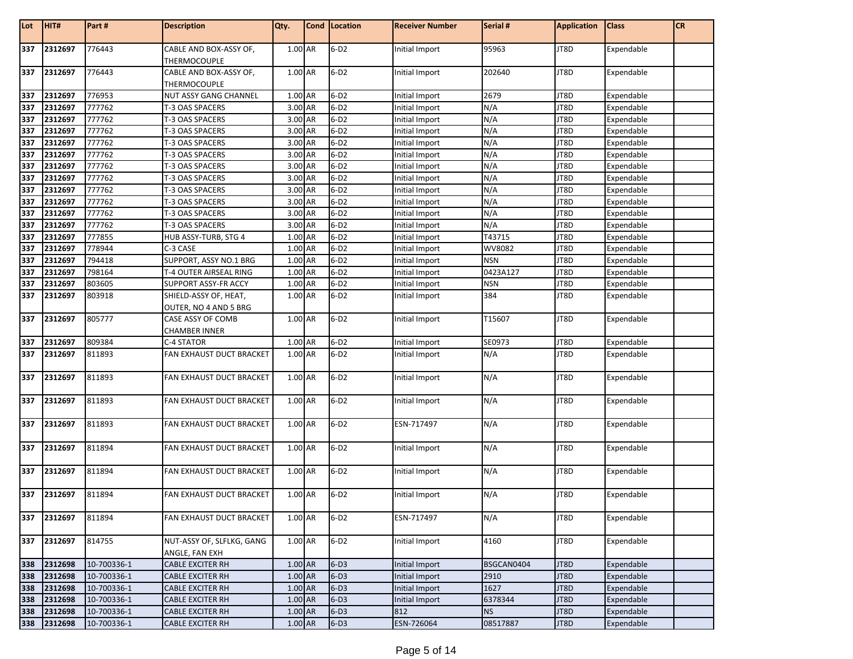| Lot | HIT#    | Part #      | <b>Description</b>                          | Qty.      | Cond   Location | <b>Receiver Number</b> | Serial #   | <b>Application</b> | <b>Class</b> | <b>CR</b> |
|-----|---------|-------------|---------------------------------------------|-----------|-----------------|------------------------|------------|--------------------|--------------|-----------|
| 337 | 2312697 | 776443      | CABLE AND BOX-ASSY OF,<br>THERMOCOUPLE      | 1.00 AR   | $6-D2$          | Initial Import         | 95963      | JT8D               | Expendable   |           |
| 337 | 2312697 | 776443      | CABLE AND BOX-ASSY OF,<br>THERMOCOUPLE      | 1.00 AR   | $6-D2$          | Initial Import         | 202640     | JT8D               | Expendable   |           |
| 337 | 2312697 | 776953      | <b>NUT ASSY GANG CHANNEL</b>                | 1.00 AR   | $6-D2$          | Initial Import         | 2679       | JT8D               | Expendable   |           |
| 337 | 2312697 | 777762      | T-3 OAS SPACERS                             | 3.00 AR   | $6-D2$          | Initial Import         | N/A        | JT8D               | Expendable   |           |
| 337 | 2312697 | 777762      | T-3 OAS SPACERS                             | 3.00 AR   | $6-D2$          | Initial Import         | N/A        | JT8D               | Expendable   |           |
| 337 | 2312697 | 777762      | T-3 OAS SPACERS                             | 3.00 AR   | $6-D2$          | Initial Import         | N/A        | JT8D               | Expendable   |           |
| 337 | 2312697 | 777762      | T-3 OAS SPACERS                             | 3.00 AR   | $6-D2$          | Initial Import         | N/A        | JT8D               | Expendable   |           |
| 337 | 2312697 | 777762      | T-3 OAS SPACERS                             | 3.00 AR   | $6-D2$          | Initial Import         | N/A        | JT8D               | Expendable   |           |
| 337 | 2312697 | 777762      | T-3 OAS SPACERS                             | 3.00 AR   | $6-D2$          | Initial Import         | N/A        | JT8D               | Expendable   |           |
| 337 | 2312697 | 777762      | T-3 OAS SPACERS                             | 3.00 AR   | $6-D2$          | Initial Import         | N/A        | JT8D               | Expendable   |           |
| 337 | 2312697 | 777762      | T-3 OAS SPACERS                             | 3.00 AR   | $6-D2$          | Initial Import         | N/A        | JT8D               | Expendable   |           |
| 337 | 2312697 | 777762      | T-3 OAS SPACERS                             | 3.00 AR   | $6-D2$          | Initial Import         | N/A        | JT8D               | Expendable   |           |
| 337 | 2312697 | 777762      | T-3 OAS SPACERS                             | 3.00 AR   | $6-D2$          | Initial Import         | N/A        | JT8D               | Expendable   |           |
| 337 | 2312697 | 777762      | T-3 OAS SPACERS                             | 3.00 AR   | $6-D2$          | Initial Import         | N/A        | JT8D               | Expendable   |           |
| 337 | 2312697 | 777855      | HUB ASSY-TURB, STG 4                        | 1.00 AR   | $6-D2$          | Initial Import         | T43715     | JT8D               | Expendable   |           |
| 337 | 2312697 | 778944      | C-3 CASE                                    | 1.00 AR   | $6-D2$          | Initial Import         | WV8082     | JT8D               | Expendable   |           |
| 337 | 2312697 | 794418      | SUPPORT, ASSY NO.1 BRG                      | 1.00 AR   | $6-D2$          | Initial Import         | <b>NSN</b> | JT8D               | Expendable   |           |
| 337 | 2312697 | 798164      | T-4 OUTER AIRSEAL RING                      | 1.00 AR   | $6-D2$          | Initial Import         | 0423A127   | JT8D               | Expendable   |           |
| 337 | 2312697 | 803605      | SUPPORT ASSY-FR ACCY                        | 1.00 AR   | $6-D2$          | Initial Import         | <b>NSN</b> | JT8D               | Expendable   |           |
| 337 | 2312697 | 803918      | SHIELD-ASSY OF, HEAT,                       | 1.00 AR   | $6-D2$          | Initial Import         | 384        | JT8D               | Expendable   |           |
|     |         |             | OUTER, NO 4 AND 5 BRG                       |           |                 |                        |            |                    |              |           |
| 337 | 2312697 | 805777      | CASE ASSY OF COMB<br><b>CHAMBER INNER</b>   | 1.00 AR   | $6-D2$          | Initial Import         | T15607     | JT8D               | Expendable   |           |
| 337 | 2312697 | 809384      | C-4 STATOR                                  | 1.00 AR   | $6-D2$          | Initial Import         | SE0973     | JT8D               | Expendable   |           |
| 337 | 2312697 | 811893      | FAN EXHAUST DUCT BRACKET                    | 1.00 AR   | $6-D2$          | Initial Import         | N/A        | JT8D               | Expendable   |           |
| 337 | 2312697 | 811893      | FAN EXHAUST DUCT BRACKET                    | 1.00 AR   | $6-D2$          | Initial Import         | N/A        | JT8D               | Expendable   |           |
| 337 | 2312697 | 811893      | FAN EXHAUST DUCT BRACKET                    | 1.00 AR   | $6-D2$          | Initial Import         | N/A        | JT8D               | Expendable   |           |
| 337 | 2312697 | 811893      | FAN EXHAUST DUCT BRACKET                    | 1.00 AR   | $6-D2$          | ESN-717497             | N/A        | JT8D               | Expendable   |           |
| 337 | 2312697 | 811894      | <b>FAN EXHAUST DUCT BRACKET</b>             | 1.00 AR   | $6-D2$          | Initial Import         | N/A        | JT8D               | Expendable   |           |
| 337 | 2312697 | 811894      | FAN EXHAUST DUCT BRACKET                    | 1.00 AR   | $6-D2$          | Initial Import         | N/A        | JT8D               | Expendable   |           |
| 337 | 2312697 | 811894      | FAN EXHAUST DUCT BRACKET                    | 1.00 AR   | $6-D2$          | Initial Import         | N/A        | JT8D               | Expendable   |           |
| 337 | 2312697 | 811894      | FAN EXHAUST DUCT BRACKET                    | 1.00 AR   | $6-D2$          | ESN-717497             | N/A        | JT8D               | Expendable   |           |
| 337 | 2312697 | 814755      | NUT-ASSY OF, SLFLKG, GANG<br>ANGLE, FAN EXH | $1.00$ AR | $6-D2$          | Initial Import         | 4160       | JT8D               | Expendable   |           |
| 338 | 2312698 | 10-700336-1 | <b>CABLE EXCITER RH</b>                     | $1.00$ AR | $6-D3$          | Initial Import         | BSGCAN0404 | JT8D               | Expendable   |           |
| 338 | 2312698 | 10-700336-1 | <b>CABLE EXCITER RH</b>                     | 1.00 AR   | $6-D3$          | Initial Import         | 2910       | JT8D               | Expendable   |           |
| 338 | 2312698 | 10-700336-1 | <b>CABLE EXCITER RH</b>                     | 1.00 AR   | $6-D3$          | Initial Import         | 1627       | JT8D               | Expendable   |           |
| 338 | 2312698 | 10-700336-1 | <b>CABLE EXCITER RH</b>                     | 1.00 AR   | $6-D3$          | Initial Import         | 6378344    | JT8D               | Expendable   |           |
| 338 | 2312698 | 10-700336-1 | <b>CABLE EXCITER RH</b>                     | 1.00 AR   | $6-D3$          | 812                    | <b>NS</b>  | JT8D               | Expendable   |           |
| 338 | 2312698 | 10-700336-1 | <b>CABLE EXCITER RH</b>                     | $1.00$ AR | $6-D3$          | ESN-726064             | 08517887   | JT8D               | Expendable   |           |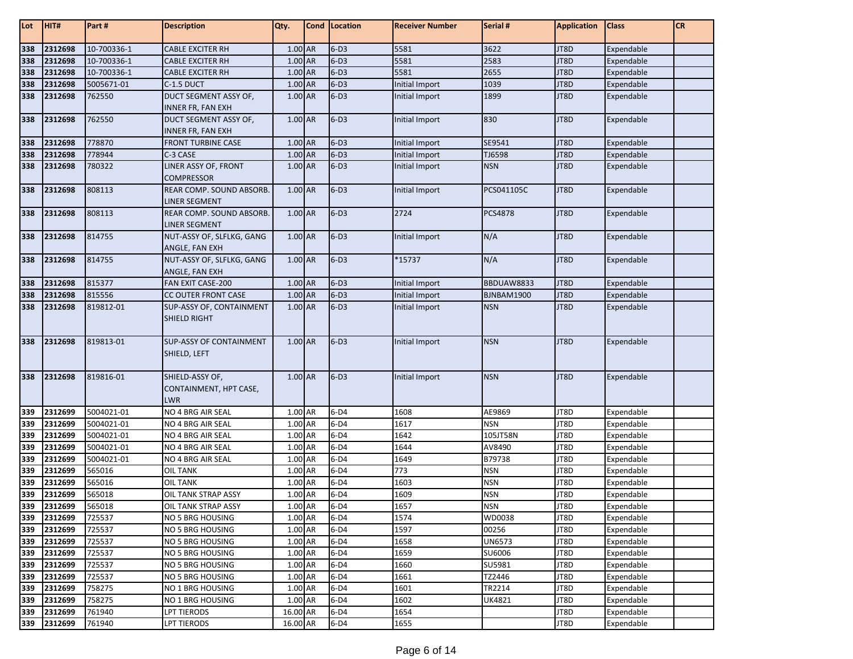| Lot        | HIT#        | Part #      | <b>Description</b>                                      | Qty.     | <b>Cond Location</b> | <b>Receiver Number</b> | Serial #      | <b>Application</b> | <b>Class</b> | <b>CR</b> |
|------------|-------------|-------------|---------------------------------------------------------|----------|----------------------|------------------------|---------------|--------------------|--------------|-----------|
| 338        | 2312698     | 10-700336-1 | <b>CABLE EXCITER RH</b>                                 | 1.00 AR  | $6-D3$               | 5581                   | 3622          | JT8D               | Expendable   |           |
| 338        | 2312698     | 10-700336-1 | <b>CABLE EXCITER RH</b>                                 | 1.00 AR  | $6-D3$               | 5581                   | 2583          | JT8D               | Expendable   |           |
| 338        | 2312698     | 10-700336-1 | CABLE EXCITER RH                                        | 1.00 AR  | $6-D3$               | 5581                   | 2655          | JT8D               | Expendable   |           |
| 338        | 2312698     | 5005671-01  | C-1.5 DUCT                                              | 1.00 AR  | $6-D3$               | Initial Import         | 1039          | JT8D               | Expendable   |           |
| 338        | 2312698     | 762550      | DUCT SEGMENT ASSY OF,                                   | 1.00 AR  | $6-D3$               | Initial Import         | 1899          | JT8D               | Expendable   |           |
|            |             |             | INNER FR, FAN EXH                                       |          |                      |                        |               |                    |              |           |
| 338        | 2312698     | 762550      | DUCT SEGMENT ASSY OF,                                   | 1.00 AR  | $6-D3$               | Initial Import         | 830           | JT8D               | Expendable   |           |
|            |             |             | INNER FR, FAN EXH                                       |          |                      |                        |               |                    |              |           |
| 338        | 2312698     | 778870      | <b>FRONT TURBINE CASE</b>                               | 1.00 AR  | $6-D3$               | Initial Import         | SE9541        | JT8D               | Expendable   |           |
| 338        | 2312698     | 778944      | C-3 CASE                                                | 1.00 AR  | $6-D3$               | Initial Import         | TJ6598        | JT8D               | Expendable   |           |
| 338        | 2312698     | 780322      | LINER ASSY OF, FRONT                                    | 1.00 AR  | $6-D3$               | Initial Import         | <b>NSN</b>    | JT8D               | Expendable   |           |
|            |             |             | <b>COMPRESSOR</b>                                       |          |                      |                        |               |                    |              |           |
| 338        | 2312698     | 808113      | REAR COMP. SOUND ABSORB.                                | 1.00 AR  | $6-D3$               | Initial Import         | PCS041105C    | JT8D               | Expendable   |           |
|            |             |             | <b>LINER SEGMENT</b>                                    |          |                      |                        |               |                    |              |           |
| 338        | 2312698     | 808113      | REAR COMP. SOUND ABSORB.                                | 1.00 AR  | $6-D3$               | 2724                   | PCS4878       | JT8D               | Expendable   |           |
|            |             |             | LINER SEGMENT                                           |          |                      |                        |               |                    |              |           |
| 338        | 2312698     | 814755      | NUT-ASSY OF, SLFLKG, GANG                               | 1.00 AR  | $6-D3$               | Initial Import         | N/A           | JT8D               | Expendable   |           |
|            |             |             | ANGLE, FAN EXH                                          |          |                      |                        |               |                    |              |           |
| 338        | 2312698     | 814755      | NUT-ASSY OF, SLFLKG, GANG                               | 1.00 AR  | $6-D3$               | *15737                 | N/A           | JT8D               | Expendable   |           |
|            |             |             | ANGLE, FAN EXH                                          |          |                      |                        |               |                    |              |           |
| 338        | 2312698     | 815377      | FAN EXIT CASE-200                                       | 1.00 AR  | $6-D3$<br>$6-D3$     | Initial Import         | BBDUAW8833    | JT8D               | Expendable   |           |
| 338<br>338 | 2312698     | 815556      | <b>CC OUTER FRONT CASE</b>                              | 1.00 AR  |                      | Initial Import         | BJNBAM1900    | JT8D               | Expendable   |           |
|            | 2312698     | 819812-01   | SUP-ASSY OF, CONTAINMENT<br>SHIELD RIGHT                | 1.00 AR  | $6-D3$               | Initial Import         | <b>NSN</b>    | JT8D               | Expendable   |           |
| 338        | 2312698     | 819813-01   | <b>SUP-ASSY OF CONTAINMENT</b><br>SHIELD, LEFT          | 1.00 AR  | $6-D3$               | Initial Import         | <b>NSN</b>    | JT8D               | Expendable   |           |
| 338        | 2312698     | 819816-01   | SHIELD-ASSY OF,<br>CONTAINMENT, HPT CASE,<br><b>LWR</b> | 1.00 AR  | $6-D3$               | Initial Import         | <b>NSN</b>    | JT8D               | Expendable   |           |
| 339        | 2312699     | 5004021-01  | NO 4 BRG AIR SEAL                                       | 1.00 AR  | $6-D4$               | 1608                   | AE9869        | JT8D               | Expendable   |           |
| 339        | 2312699     | 5004021-01  | NO 4 BRG AIR SEAL                                       | 1.00 AR  | $6-D4$               | 1617                   | <b>NSN</b>    | JT8D               | Expendable   |           |
| 339        | 2312699     | 5004021-01  | NO 4 BRG AIR SEAL                                       | 1.00 AR  | $6-D4$               | 1642                   | 105JT58N      | JT8D               | Expendable   |           |
| 339        | 2312699     | 5004021-01  | NO 4 BRG AIR SEAL                                       | 1.00 AR  | $6-D4$               | 1644                   | AV8490        | JT8D               | Expendable   |           |
| 339        | 2312699     | 5004021-01  | NO 4 BRG AIR SEAL                                       | 1.00 AR  | $6-D4$               | 1649                   | B79738        | JT8D               | Expendable   |           |
| 339        | 2312699     | 565016      | <b>OIL TANK</b>                                         | 1.00 AR  | $6-D4$               | 773                    | <b>NSN</b>    | JT8D               | Expendable   |           |
| 339        | 2312699     | 565016      | <b>OIL TANK</b>                                         | 1.00 AR  | $6-D4$               | 1603                   | <b>NSN</b>    | JT8D               | Expendable   |           |
| 339        | 2312699     | 565018      | OIL TANK STRAP ASSY                                     | 1.00 AR  | $6-D4$               | 1609                   | <b>NSN</b>    | JT8D               | Expendable   |           |
|            | 339 2312699 | 565018      | <b>OIL TANK STRAP ASSY</b>                              | 1.00 AR  | $6-D4$               | 1657                   | <b>NSN</b>    | JT8D               | Expendable   |           |
| 339        | 2312699     | 725537      | NO 5 BRG HOUSING                                        | 1.00 AR  | $6-D4$               | 1574                   | WD0038        | JT8D               | Expendable   |           |
| 339        | 2312699     | 725537      | NO 5 BRG HOUSING                                        | 1.00 AR  | $6-D4$               | 1597                   | 00256         | JT8D               | Expendable   |           |
| 339        | 2312699     | 725537      | NO 5 BRG HOUSING                                        | 1.00 AR  | $6-D4$               | 1658                   | <b>UN6573</b> | JT8D               | Expendable   |           |
| 339        | 2312699     | 725537      | <b>NO 5 BRG HOUSING</b>                                 | 1.00 AR  | $6-D4$               | 1659                   | SU6006        | JT8D               | Expendable   |           |
| 339        | 2312699     | 725537      | NO 5 BRG HOUSING                                        | 1.00 AR  | $6-D4$               | 1660                   | SU5981        | JT8D               | Expendable   |           |
| 339        | 2312699     | 725537      | NO 5 BRG HOUSING                                        | 1.00 AR  | $6-D4$               | 1661                   | TZ2446        | JT8D               | Expendable   |           |
| 339        | 2312699     | 758275      | NO 1 BRG HOUSING                                        | 1.00 AR  | $6-D4$               | 1601                   | TR2214        | JT8D               | Expendable   |           |
| 339        | 2312699     | 758275      | NO 1 BRG HOUSING                                        | 1.00 AR  | $6-D4$               | 1602                   | UK4821        | JT8D               | Expendable   |           |
| 339        | 2312699     | 761940      | <b>LPT TIERODS</b>                                      | 16.00 AR | $6-D4$               | 1654                   |               | JT8D               | Expendable   |           |
|            | 339 2312699 | 761940      | <b>LPT TIERODS</b>                                      | 16.00 AR | $6-D4$               | 1655                   |               | JT8D               | Expendable   |           |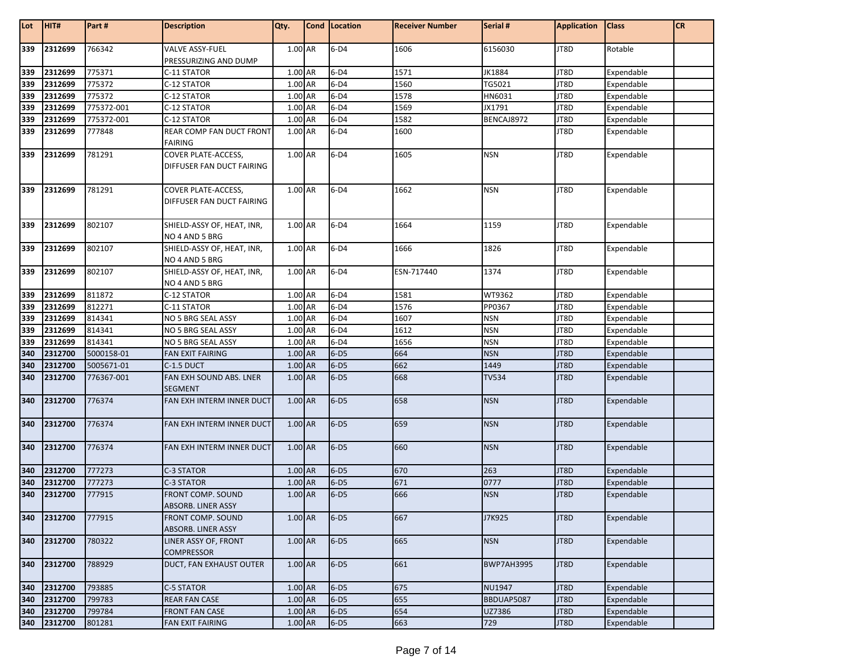| Lot        | HIT#    | Part#      | <b>Description</b>                               | Qty.      | Cond Location | <b>Receiver Number</b> | Serial #          | <b>Application</b> | <b>Class</b> | <b>CR</b> |
|------------|---------|------------|--------------------------------------------------|-----------|---------------|------------------------|-------------------|--------------------|--------------|-----------|
| 339        | 2312699 | 766342     | <b>VALVE ASSY-FUEL</b>                           | 1.00 AR   | $6-D4$        | 1606                   | 6156030           | JT8D               | Rotable      |           |
|            |         |            | PRESSURIZING AND DUMP                            |           |               |                        |                   |                    |              |           |
| 339        | 2312699 | 775371     | C-11 STATOR                                      | 1.00 AR   | $6-D4$        | 1571                   | <b>JK1884</b>     | JT8D               | Expendable   |           |
|            | 2312699 | 775372     | C-12 STATOR                                      | 1.00 AR   | $6-D4$        | 1560                   | TG5021            | JT8D               | Expendable   |           |
| 339<br>339 | 2312699 | 775372     | C-12 STATOR                                      | 1.00 AR   | $6-D4$        | 1578                   | HN6031            | JT8D               | Expendable   |           |
| 339        | 2312699 | 775372-001 | C-12 STATOR                                      | 1.00 AR   | $6-D4$        | 1569                   | JX1791            | JT8D               | Expendable   |           |
| 339        | 2312699 | 775372-001 | C-12 STATOR                                      | 1.00 AR   | $6-D4$        | 1582                   | BENCAJ8972        | JT8D               | Expendable   |           |
| 339        | 2312699 | 777848     | REAR COMP FAN DUCT FRONT<br><b>FAIRING</b>       | 1.00 AR   | $6-D4$        | 1600                   |                   | JT8D               | Expendable   |           |
| 339        | 2312699 | 781291     | COVER PLATE-ACCESS,<br>DIFFUSER FAN DUCT FAIRING | 1.00 AR   | $6-D4$        | 1605                   | <b>NSN</b>        | JT8D               | Expendable   |           |
| 339        | 2312699 | 781291     | COVER PLATE-ACCESS,<br>DIFFUSER FAN DUCT FAIRING | 1.00 AR   | $6-D4$        | 1662                   | <b>NSN</b>        | JT8D               | Expendable   |           |
| 339        | 2312699 | 802107     | SHIELD-ASSY OF, HEAT, INR,<br>NO 4 AND 5 BRG     | 1.00 AR   | $6-D4$        | 1664                   | 1159              | JT8D               | Expendable   |           |
| 339        | 2312699 | 802107     | SHIELD-ASSY OF, HEAT, INR,<br>NO 4 AND 5 BRG     | 1.00 AR   | $6-D4$        | 1666                   | 1826              | JT8D               | Expendable   |           |
| 339        | 2312699 | 802107     | SHIELD-ASSY OF, HEAT, INR,<br>NO 4 AND 5 BRG     | 1.00 AR   | $6-D4$        | ESN-717440             | 1374              | JT8D               | Expendable   |           |
| 339        | 2312699 | 811872     | C-12 STATOR                                      | 1.00 AR   | $6-D4$        | 1581                   | WT9362            | JT8D               | Expendable   |           |
| 339        | 2312699 | 812271     | C-11 STATOR                                      | 1.00 AR   | $6-D4$        | 1576                   | PP0367            | JT8D               | Expendable   |           |
| 339        | 2312699 | 814341     | NO 5 BRG SEAL ASSY                               | 1.00 AR   | $6-D4$        | 1607                   | <b>NSN</b>        | JT8D               | Expendable   |           |
| 339        | 2312699 | 814341     | NO 5 BRG SEAL ASSY                               | 1.00 AR   | $6-D4$        | 1612                   | <b>NSN</b>        | JT8D               | Expendable   |           |
| 339        | 2312699 | 814341     | NO 5 BRG SEAL ASSY                               | 1.00 AR   | $6-D4$        | 1656                   | <b>NSN</b>        | JT8D               | Expendable   |           |
| 340        | 2312700 | 5000158-01 | <b>FAN EXIT FAIRING</b>                          | 1.00 AR   | $6-D5$        | 664                    | <b>NSN</b>        | JT8D               | Expendable   |           |
| 340        | 2312700 | 5005671-01 | C-1.5 DUCT                                       | 1.00 AR   | $6-D5$        | 662                    | 1449              | JT8D               | Expendable   |           |
| 340        | 2312700 | 776367-001 | FAN EXH SOUND ABS. LNER<br><b>SEGMENT</b>        | 1.00 AR   | $6-D5$        | 668                    | <b>TV534</b>      | JT8D               | Expendable   |           |
| 340        | 2312700 | 776374     | FAN EXH INTERM INNER DUCT                        | 1.00 AR   | $6-D5$        | 658                    | <b>NSN</b>        | JT8D               | Expendable   |           |
| 340        | 2312700 | 776374     | FAN EXH INTERM INNER DUCT                        | 1.00 AR   | $6-D5$        | 659                    | <b>NSN</b>        | JT8D               | Expendable   |           |
| 340        | 2312700 | 776374     | FAN EXH INTERM INNER DUCT                        | 1.00 AR   | $6-D5$        | 660                    | <b>NSN</b>        | JT8D               | Expendable   |           |
| 340        | 2312700 | 777273     | C-3 STATOR                                       | 1.00 AR   | $6-D5$        | 670                    | 263               | JT8D               | Expendable   |           |
| 340        | 2312700 | 777273     | C-3 STATOR                                       | 1.00 AR   | $6-D5$        | 671                    | 0777              | JT8D               | Expendable   |           |
| 340        | 2312700 | 777915     | FRONT COMP. SOUND<br><b>ABSORB. LINER ASSY</b>   | 1.00 AR   | $6-D5$        | 666                    | <b>NSN</b>        | JT8D               | Expendable   |           |
| 340        | 2312700 | 777915     | FRONT COMP. SOUND<br>ABSORB. LINER ASSY          | 1.00 AR   | $6-D5$        | 667                    | J7K925            | JT8D               | Expendable   |           |
| 340        | 2312700 | 780322     | LINER ASSY OF, FRONT<br><b>COMPRESSOR</b>        | 1.00 AR   | $6-D5$        | 665                    | <b>NSN</b>        | JT8D               | Expendable   |           |
| 340        | 2312700 | 788929     | DUCT, FAN EXHAUST OUTER                          | 1.00 AR   | $6-D5$        | 661                    | <b>BWP7AH3995</b> | JT8D               | Expendable   |           |
| 340        | 2312700 | 793885     | C-5 STATOR                                       | 1.00 AR   | $6-D5$        | 675                    | <b>NU1947</b>     | JT8D               | Expendable   |           |
| 340        | 2312700 | 799783     | <b>REAR FAN CASE</b>                             | 1.00 AR   | $6-D5$        | 655                    | BBDUAP5087        | JT8D               | Expendable   |           |
| 340        | 2312700 | 799784     | <b>FRONT FAN CASE</b>                            | $1.00$ AR | $6-D5$        | 654                    | UZ7386            | JT8D               | Expendable   |           |
| 340        | 2312700 | 801281     | <b>FAN EXIT FAIRING</b>                          | 1.00 AR   | $6-D5$        | 663                    | 729               | JT8D               | Expendable   |           |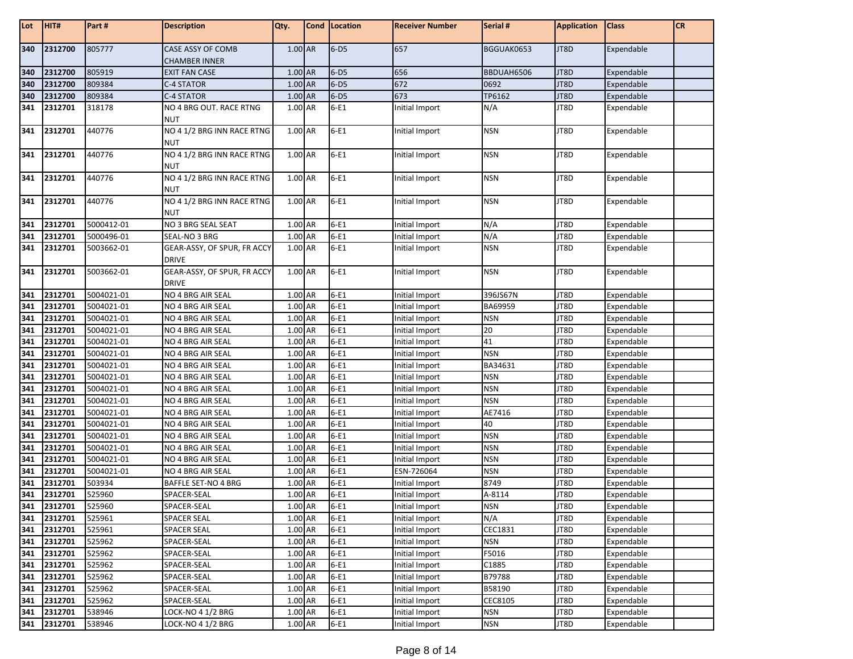| Lot        | HIT#               | Part #                   | <b>Description</b>                       | Qty.               |           | Cond   Location  | <b>Receiver Number</b>       | Serial #       | <b>Application</b> | <b>Class</b>             | <b>CR</b> |
|------------|--------------------|--------------------------|------------------------------------------|--------------------|-----------|------------------|------------------------------|----------------|--------------------|--------------------------|-----------|
| 340        | 2312700            | 805777                   | CASE ASSY OF COMB                        | 1.00 AR            |           | $6-D5$           | 657                          | BGGUAK0653     | JT8D               | Expendable               |           |
|            |                    |                          | <b>CHAMBER INNER</b>                     |                    |           |                  |                              |                |                    |                          |           |
| 340        | 2312700            | 805919                   | <b>EXIT FAN CASE</b>                     | 1.00 AR            |           | $6-D5$<br>$6-D5$ | 656                          | BBDUAH6506     | JT8D               | Expendable               |           |
| 340        | 2312700            | 809384                   | C-4 STATOR                               | 1.00 AR            |           |                  | 672                          | 0692<br>TP6162 | JT8D               | Expendable               |           |
| 340        | 2312700            | 809384                   | C-4 STATOR                               | 1.00 AR            |           | $6-D5$           | 673                          |                | JT8D               | Expendable               |           |
| 341        | 2312701            | 318178                   | NO 4 BRG OUT. RACE RTNG<br><b>NUT</b>    | 1.00 AR            |           | $6-E1$           | Initial Import               | N/A            | JT8D               | Expendable               |           |
| 341        | 2312701            | 440776                   | NO 4 1/2 BRG INN RACE RTNG<br><b>NUT</b> | 1.00 AR            |           | $6-E1$           | Initial Import               | <b>NSN</b>     | JT8D               | Expendable               |           |
| 341        | 2312701            | 440776                   | NO 4 1/2 BRG INN RACE RTNG               | 1.00 AR            |           | $6-E1$           | Initial Import               | <b>NSN</b>     | JT8D               | Expendable               |           |
|            |                    | 440776                   | <b>NUT</b><br>NO 4 1/2 BRG INN RACE RTNG |                    |           |                  |                              |                |                    |                          |           |
| 341        | 2312701            |                          | <b>NUT</b>                               | 1.00 AR            |           | $6-E1$           | Initial Import               | <b>NSN</b>     | JT8D               | Expendable               |           |
| 341        | 2312701            | 440776                   | NO 4 1/2 BRG INN RACE RTNG<br><b>NUT</b> | 1.00 AR            |           | $6-E1$           | Initial Import               | <b>NSN</b>     | JT8D               | Expendable               |           |
| 341        | 2312701            | 5000412-01               | NO 3 BRG SEAL SEAT                       | 1.00 AR            |           | $6-E1$           | Initial Import               | N/A            | JT8D               | Expendable               |           |
| 341        | 2312701            | 5000496-01               | SEAL-NO 3 BRG                            | 1.00 AR            |           | $6-E1$           | Initial Import               | N/A            | JT8D               | Expendable               |           |
| 341        | 2312701            | 5003662-01               | GEAR-ASSY, OF SPUR, FR ACCY              | 1.00 AR            |           | $6-E1$           | Initial Import               | <b>NSN</b>     | JT8D               | Expendable               |           |
|            |                    |                          | <b>DRIVE</b>                             |                    |           |                  |                              |                |                    |                          |           |
| 341        | 2312701            | 5003662-01               | <b>GEAR-ASSY, OF SPUR, FR ACCY</b>       | 1.00 AR            |           | $6-E1$           | Initial Import               | <b>NSN</b>     | JT8D               | Expendable               |           |
|            |                    |                          | <b>DRIVE</b>                             |                    |           |                  |                              |                |                    |                          |           |
| 341        | 2312701            | 5004021-01               | NO 4 BRG AIR SEAL                        | 1.00 AR            |           | $6-E1$           | Initial Import               | 396JS67N       | JT8D               | Expendable               |           |
| 341        | 2312701            | 5004021-01               | NO 4 BRG AIR SEAL                        | 1.00 AR            |           | $6-E1$           | Initial Import               | BA69959        | JT8D               | Expendable               |           |
| 341        | 2312701            | 5004021-01               | NO 4 BRG AIR SEAL                        | 1.00 AR            |           | $6-E1$           | Initial Import               | <b>NSN</b>     | JT8D               | Expendable               |           |
| 341        | 2312701            | 5004021-01               | NO 4 BRG AIR SEAL                        | 1.00 AR            |           | $6-E1$           | Initial Import               | 20             | JT8D               | Expendable               |           |
| 341        | 2312701            | 5004021-01               | NO 4 BRG AIR SEAL                        | 1.00 AR            |           | $6-E1$           | Initial Import               | 41             | JT8D               | Expendable               |           |
| 341        | 2312701            | 5004021-01               | NO 4 BRG AIR SEAL                        | 1.00 AR            |           | $6-E1$           | Initial Import               | <b>NSN</b>     | JT8D               | Expendable               |           |
| 341        | 2312701            | 5004021-01               | NO 4 BRG AIR SEAL                        | 1.00 AR            |           | $6-E1$           | Initial Import               | BA34631        | JT8D               | Expendable               |           |
| 341        | 2312701            | 5004021-01               | NO 4 BRG AIR SEAL                        | $1.00$ AR          |           | $6-E1$           | Initial Import               | <b>NSN</b>     | JT8D               | Expendable               |           |
| 341        | 2312701            | 5004021-01               | NO 4 BRG AIR SEAL                        | 1.00 AR            |           | $6-E1$           | Initial Import               | <b>NSN</b>     | JT8D               | Expendable               |           |
| 341        | 2312701            | 5004021-01               | NO 4 BRG AIR SEAL                        | 1.00 AR            |           | $6-E1$           | Initial Import               | <b>NSN</b>     | JT8D               | Expendable               |           |
| 341        | 2312701            | 5004021-01               | NO 4 BRG AIR SEAL                        | 1.00 AR            |           | $6-E1$           | Initial Import               | AE7416<br>40   | JT8D               | Expendable               |           |
| 341        | 2312701            | 5004021-01               | NO 4 BRG AIR SEAL                        | 1.00 AR            |           | $6-E1$           | Initial Import               | <b>NSN</b>     | JT8D               | Expendable               |           |
| 341        | 2312701<br>2312701 | 5004021-01<br>5004021-01 | NO 4 BRG AIR SEAL                        | 1.00 AR<br>1.00 AR |           | $6-E1$<br>$6-E1$ | Initial Import               | <b>NSN</b>     | JT8D<br>JT8D       | Expendable               |           |
| 341        |                    |                          | NO 4 BRG AIR SEAL                        | 1.00 AR            |           | $6-E1$           | Initial Import               | <b>NSN</b>     |                    | Expendable               |           |
| 341        | 2312701<br>2312701 | 5004021-01<br>5004021-01 | NO 4 BRG AIR SEAL<br>NO 4 BRG AIR SEAL   | 1.00 AR            |           | $6-E1$           | Initial Import               | <b>NSN</b>     | JT8D<br>JT8D       | Expendable               |           |
| 341<br>341 | 2312701            | 503934                   | BAFFLE SET-NO 4 BRG                      | 1.00               | <b>AR</b> | $6-E1$           | ESN-726064<br>Initial Import | 8749           | JT8D               | Expendable<br>Expendable |           |
| 341        | 2312701            | 525960                   | SPACER-SEAL                              | 1.00 AR            |           | $6-E1$           | Initial Import               | A-8114         | JT8D               | Expendable               |           |
| 341        | 2312701            | 525960                   | SPACER-SEAL                              | 1.00 AR            |           | $6-E1$           | Initial Import               | <b>NSN</b>     | JT8D               | Expendable               |           |
| 341        | 2312701            | 525961                   | SPACER SEAL                              | 1.00 AR            |           | $6-E1$           | Initial Import               | N/A            | JT8D               | Expendable               |           |
| 341        | 2312701            | 525961                   | <b>SPACER SEAL</b>                       | 1.00 AR            |           | $6-E1$           | Initial Import               | CEC1831        | JT8D               | Expendable               |           |
| 341        | 2312701            | 525962                   | SPACER-SEAL                              | 1.00 AR            |           | $6-E1$           | Initial Import               | <b>NSN</b>     | JT8D               | Expendable               |           |
| 341        | 2312701            | 525962                   | SPACER-SEAL                              | 1.00 AR            |           | $6-E1$           | Initial Import               | F5016          | JT8D               | Expendable               |           |
| 341        | 2312701            | 525962                   | SPACER-SEAL                              | 1.00 AR            |           | $6-E1$           | Initial Import               | C1885          | JT8D               | Expendable               |           |
| 341        | 2312701            | 525962                   | SPACER-SEAL                              | 1.00 AR            |           | $6-E1$           | Initial Import               | B79788         | JT8D               | Expendable               |           |
| 341        | 2312701            | 525962                   | SPACER-SEAL                              | 1.00 AR            |           | $6-E1$           | Initial Import               | B58190         | JT8D               | Expendable               |           |
| 341        | 2312701            | 525962                   | SPACER-SEAL                              | 1.00 AR            |           | $6-E1$           | Initial Import               | <b>CEC8105</b> | JT8D               | Expendable               |           |
| 341        | 2312701            | 538946                   | LOCK-NO 4 1/2 BRG                        | 1.00 AR            |           | $6-E1$           | Initial Import               | <b>NSN</b>     | JT8D               | Expendable               |           |
| 341        | 2312701            | 538946                   | LOCK-NO 4 1/2 BRG                        | 1.00 AR            |           | $6-E1$           | Initial Import               | <b>NSN</b>     | JT8D               | Expendable               |           |
|            |                    |                          |                                          |                    |           |                  |                              |                |                    |                          |           |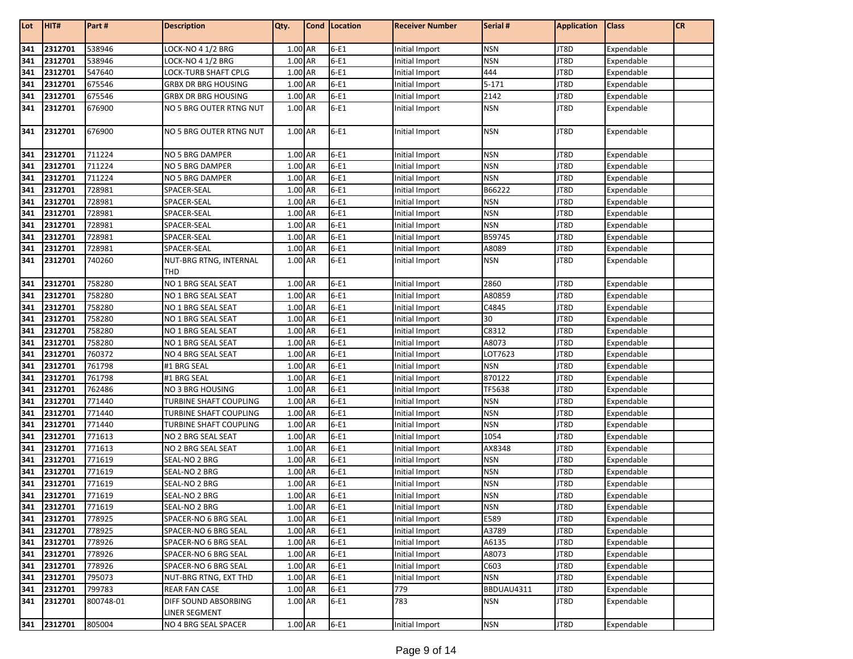| Lot | HIT#        | Part#     | <b>Description</b>             | Qty.    | Cond   Location | <b>Receiver Number</b> | Serial #   | <b>Application</b> | <b>Class</b> | <b>CR</b> |
|-----|-------------|-----------|--------------------------------|---------|-----------------|------------------------|------------|--------------------|--------------|-----------|
|     |             |           |                                |         |                 |                        |            |                    |              |           |
| 341 | 2312701     | 538946    | LOCK-NO 4 1/2 BRG              | 1.00 AR | $6-E1$          | Initial Import         | <b>NSN</b> | JT8D               | Expendable   |           |
| 341 | 2312701     | 538946    | LOCK-NO 4 1/2 BRG              | 1.00 AR | $6-E1$          | Initial Import         | <b>NSN</b> | JT8D               | Expendable   |           |
| 341 | 2312701     | 547640    | LOCK-TURB SHAFT CPLG           | 1.00 AR | $6-E1$          | Initial Import         | 444        | JT8D               | Expendable   |           |
| 341 | 2312701     | 675546    | GRBX DR BRG HOUSING            | 1.00 AR | $6-E1$          | Initial Import         | $5 - 171$  | JT8D               | Expendable   |           |
| 341 | 2312701     | 675546    | <b>GRBX DR BRG HOUSING</b>     | 1.00 AR | $6-E1$          | Initial Import         | 2142       | JT8D               | Expendable   |           |
| 341 | 2312701     | 676900    | <b>NO 5 BRG OUTER RTNG NUT</b> | 1.00 AR | $6-E1$          | Initial Import         | <b>NSN</b> | JT8D               | Expendable   |           |
| 341 | 2312701     | 676900    | NO 5 BRG OUTER RTNG NUT        | 1.00 AR | $6-E1$          | Initial Import         | <b>NSN</b> | JT8D               | Expendable   |           |
| 341 | 2312701     | 711224    | NO 5 BRG DAMPER                | 1.00 AR | $6-E1$          | Initial Import         | <b>NSN</b> | JT8D               | Expendable   |           |
| 341 | 2312701     | 711224    | NO 5 BRG DAMPER                | 1.00 AR | $6-E1$          | Initial Import         | <b>NSN</b> | JT8D               | Expendable   |           |
| 341 | 2312701     | 711224    | NO 5 BRG DAMPER                | 1.00 AR | $6-E1$          | Initial Import         | <b>NSN</b> | JT8D               | Expendable   |           |
| 341 | 2312701     | 728981    | SPACER-SEAL                    | 1.00 AR | $6-E1$          | Initial Import         | B66222     | JT8D               | Expendable   |           |
| 341 | 2312701     | 728981    | SPACER-SEAL                    | 1.00 AR | $6-E1$          | Initial Import         | <b>NSN</b> | JT8D               | Expendable   |           |
| 341 | 2312701     | 728981    | SPACER-SEAL                    | 1.00 AR | $6-E1$          | Initial Import         | <b>NSN</b> | JT8D               | Expendable   |           |
| 341 | 2312701     | 728981    | SPACER-SEAL                    | 1.00 AR | $6-E1$          | Initial Import         | <b>NSN</b> | JT8D               | Expendable   |           |
| 341 | 2312701     | 728981    | SPACER-SEAL                    | 1.00 AR | $6-E1$          | Initial Import         | B59745     | JT8D               | Expendable   |           |
| 341 | 2312701     | 728981    | SPACER-SEAL                    | 1.00 AR | $6-E1$          | Initial Import         | A8089      | JT8D               | Expendable   |           |
| 341 | 2312701     | 740260    | NUT-BRG RTNG, INTERNAL<br>THD  | 1.00 AR | $6-E1$          | Initial Import         | <b>NSN</b> | JT8D               | Expendable   |           |
| 341 | 2312701     | 758280    | NO 1 BRG SEAL SEAT             | 1.00 AR | $6-E1$          | Initial Import         | 2860       | JT8D               | Expendable   |           |
| 341 | 2312701     | 758280    | NO 1 BRG SEAL SEAT             | 1.00 AR | $6-E1$          | Initial Import         | A80859     | JT8D               | Expendable   |           |
| 341 | 2312701     | 758280    | NO 1 BRG SEAL SEAT             | 1.00 AR | $6-E1$          | Initial Import         | C4845      | JT8D               | Expendable   |           |
| 341 | 2312701     | 758280    | NO 1 BRG SEAL SEAT             | 1.00 AR | $6-E1$          | Initial Import         | 30         | JT8D               | Expendable   |           |
| 341 | 2312701     | 758280    | NO 1 BRG SEAL SEAT             | 1.00 AR | $6-E1$          | Initial Import         | C8312      | JT8D               | Expendable   |           |
| 341 | 2312701     | 758280    | NO 1 BRG SEAL SEAT             | 1.00 AR | $6-E1$          | Initial Import         | A8073      | JT8D               | Expendable   |           |
| 341 | 2312701     | 760372    | NO 4 BRG SEAL SEAT             | 1.00 AR | $6-E1$          | Initial Import         | LOT7623    | JT8D               | Expendable   |           |
| 341 | 2312701     | 761798    | #1 BRG SEAL                    | 1.00 AR | $6-E1$          | Initial Import         | <b>NSN</b> | JT8D               | Expendable   |           |
| 341 | 2312701     | 761798    | #1 BRG SEAL                    | 1.00 AR | $6-E1$          | Initial Import         | 870122     | JT8D               | Expendable   |           |
| 341 | 2312701     | 762486    | NO 3 BRG HOUSING               | 1.00 AR | $6-E1$          | Initial Import         | TF5638     | JT8D               | Expendable   |           |
| 341 | 2312701     | 771440    | TURBINE SHAFT COUPLING         | 1.00 AR | $6-E1$          | Initial Import         | <b>NSN</b> | JT8D               | Expendable   |           |
| 341 | 2312701     | 771440    | TURBINE SHAFT COUPLING         | 1.00 AR | $6-E1$          | Initial Import         | <b>NSN</b> | JT8D               | Expendable   |           |
| 341 | 2312701     | 771440    | <b>TURBINE SHAFT COUPLING</b>  | 1.00 AR | $6-E1$          | Initial Import         | <b>NSN</b> | JT8D               | Expendable   |           |
| 341 | 2312701     | 771613    | NO 2 BRG SEAL SEAT             | 1.00 AR | $6-E1$          | Initial Import         | 1054       | JT8D               | Expendable   |           |
| 341 | 2312701     | 771613    | NO 2 BRG SEAL SEAT             | 1.00 AR | $6-E1$          | Initial Import         | AX8348     | JT8D               | Expendable   |           |
| 341 | 2312701     | 771619    | SEAL-NO 2 BRG                  | 1.00 AR | $6-E1$          | Initial Import         | <b>NSN</b> | JT8D               | Expendable   |           |
| 341 | 2312701     | 771619    | SEAL-NO 2 BRG                  | 1.00 AR | $6-E1$          | Initial Import         | <b>NSN</b> | JT8D               | Expendable   |           |
| 341 | 2312701     | 771619    | SEAL-NO 2 BRG                  | 1.00 AR | $6-E1$          | Initial Import         | <b>NSN</b> | JT8D               | Expendable   |           |
| 341 | 2312701     | 771619    | SEAL-NO 2 BRG                  | 1.00 AR | $6-E1$          | Initial Import         | <b>NSN</b> | JT8D               | Expendable   |           |
|     | 341 2312701 | 771619    | SEAL-NO 2 BRG                  | 1.00 AR | $6-E1$          | Initial Import         | <b>NSN</b> | JT8D               | Expendable   |           |
| 341 | 2312701     | 778925    | SPACER-NO 6 BRG SEAL           | 1.00 AR | $6-E1$          | Initial Import         | E589       | JT8D               | Expendable   |           |
| 341 | 2312701     | 778925    | SPACER-NO 6 BRG SEAL           | 1.00 AR | $6-E1$          | Initial Import         | A3789      | JT8D               | Expendable   |           |
| 341 | 2312701     | 778926    | SPACER-NO 6 BRG SEAL           | 1.00 AR | $6-E1$          | Initial Import         | A6135      | JT8D               | Expendable   |           |
| 341 | 2312701     | 778926    | SPACER-NO 6 BRG SEAL           | 1.00 AR | $6-E1$          | Initial Import         | A8073      | JT8D               | Expendable   |           |
| 341 | 2312701     | 778926    | SPACER-NO 6 BRG SEAL           | 1.00 AR | $6-E1$          | Initial Import         | C603       | JT8D               | Expendable   |           |
| 341 | 2312701     | 795073    | NUT-BRG RTNG, EXT THD          | 1.00 AR | $6-E1$          | Initial Import         | <b>NSN</b> | JT8D               | Expendable   |           |
| 341 | 2312701     | 799783    | <b>REAR FAN CASE</b>           | 1.00 AR | $6-E1$          | 779                    | BBDUAU4311 | JT8D               | Expendable   |           |
| 341 | 2312701     | 800748-01 | DIFF SOUND ABSORBING           | 1.00 AR | $6-E1$          | 783                    | <b>NSN</b> | JT8D               | Expendable   |           |
|     |             |           | LINER SEGMENT                  |         |                 |                        |            |                    |              |           |
|     | 341 2312701 | 805004    | NO 4 BRG SEAL SPACER           | 1.00 AR | $6-E1$          | Initial Import         | <b>NSN</b> | JT8D               | Expendable   |           |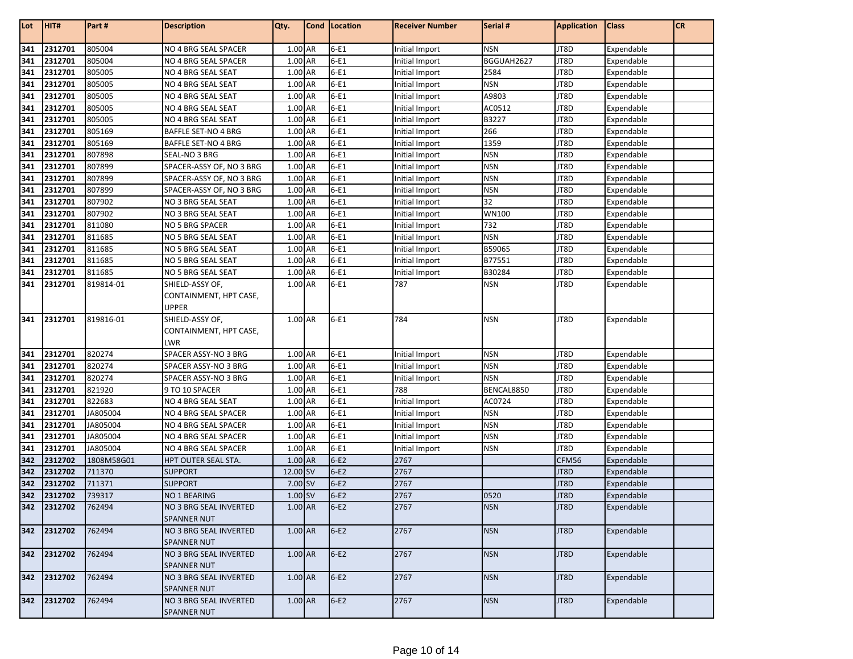| 341<br>1.00 AR<br>2312701<br>805004<br>NO 4 BRG SEAL SPACER<br>$6-E1$<br><b>NSN</b><br>JT8D<br>Expendable<br>Initial Import<br>341<br>2312701<br>805004<br>1.00 AR<br>$6-E1$<br>BGGUAH2627<br>JT8D<br>NO 4 BRG SEAL SPACER<br>Initial Import<br>Expendable<br>341<br>1.00 AR<br>$6-E1$<br>2312701<br>805005<br>NO 4 BRG SEAL SEAT<br>Initial Import<br>2584<br>JT8D<br>Expendable<br>341<br>2312701<br>1.00 AR<br>$6-E1$<br><b>NSN</b><br>805005<br>JT8D<br>Expendable<br>NO 4 BRG SEAL SEAT<br>Initial Import<br>341<br>805005<br>$6-E1$<br>A9803<br>JT8D<br>2312701<br>1.00 AR<br>Expendable<br>NO 4 BRG SEAL SEAT<br>Initial Import<br>$6-E1$<br>341<br>1.00 AR<br>AC0512<br>JT8D<br>2312701<br>805005<br>NO 4 BRG SEAL SEAT<br>Initial Import<br>Expendable<br>341<br>$6-E1$<br>2312701<br>805005<br>1.00 AR<br>B3227<br>JT8D<br>NO 4 BRG SEAL SEAT<br>Initial Import<br>Expendable<br>341<br>$6-E1$<br>2312701<br>805169<br>1.00 AR<br>266<br>JT8D<br>Expendable<br><b>BAFFLE SET-NO 4 BRG</b><br>Initial Import<br>1.00 AR<br>$6-E1$<br>1359<br>341<br>2312701<br>805169<br>JT8D<br>Expendable<br>BAFFLE SET-NO 4 BRG<br>Initial Import<br>341<br>$6-E1$<br>2312701<br>807898<br>1.00 AR<br><b>NSN</b><br>JT8D<br>SEAL-NO 3 BRG<br>Expendable<br>Initial Import<br>341<br>$6-E1$<br>2312701<br>807899<br>SPACER-ASSY OF, NO 3 BRG<br>1.00 AR<br><b>NSN</b><br>JT8D<br>Initial Import<br>Expendable<br>341<br>807899<br>$6-E1$<br>2312701<br>1.00 AR<br><b>NSN</b><br>JT8D<br>SPACER-ASSY OF, NO 3 BRG<br>Initial Import<br>Expendable<br>341<br>2312701<br>807899<br>1.00 AR<br>$6-E1$<br><b>NSN</b><br>JT8D<br>SPACER-ASSY OF, NO 3 BRG<br>Initial Import<br>Expendable<br>341<br>32<br>2312701<br>807902<br>1.00 AR<br>$6-E1$<br>JT8D<br>NO 3 BRG SEAL SEAT<br>Initial Import<br>Expendable<br>341<br>$6-E1$<br>2312701<br>807902<br>1.00 AR<br><b>WN100</b><br>JT8D<br>NO 3 BRG SEAL SEAT<br>Initial Import<br>Expendable<br>341<br>2312701<br>811080<br>1.00 AR<br>$6-E1$<br>732<br>JT8D<br>Expendable<br>NO 5 BRG SPACER<br>Initial Import<br>341<br>$6-E1$<br><b>NSN</b><br>811685<br>JT8D<br>2312701<br>NO 5 BRG SEAL SEAT<br>1.00 AR<br><b>Initial Import</b><br>Expendable<br>341<br>$6-E1$<br>811685<br>1.00 AR<br>B59065<br>2312701<br>NO 5 BRG SEAL SEAT<br>Initial Import<br>JT8D<br>Expendable<br>341<br>$6-E1$<br>B77551<br>2312701<br>811685<br>1.00 AR<br>JT8D<br>Expendable<br>NO 5 BRG SEAL SEAT<br>Initial Import<br>$6-E1$<br>2312701<br>811685<br>1.00 AR<br>B30284<br>JT8D<br>341<br>NO 5 BRG SEAL SEAT<br>Initial Import<br>Expendable |  |
|----------------------------------------------------------------------------------------------------------------------------------------------------------------------------------------------------------------------------------------------------------------------------------------------------------------------------------------------------------------------------------------------------------------------------------------------------------------------------------------------------------------------------------------------------------------------------------------------------------------------------------------------------------------------------------------------------------------------------------------------------------------------------------------------------------------------------------------------------------------------------------------------------------------------------------------------------------------------------------------------------------------------------------------------------------------------------------------------------------------------------------------------------------------------------------------------------------------------------------------------------------------------------------------------------------------------------------------------------------------------------------------------------------------------------------------------------------------------------------------------------------------------------------------------------------------------------------------------------------------------------------------------------------------------------------------------------------------------------------------------------------------------------------------------------------------------------------------------------------------------------------------------------------------------------------------------------------------------------------------------------------------------------------------------------------------------------------------------------------------------------------------------------------------------------------------------------------------------------------------------------------------------------------------------------------------------------------------------------------------------------------------------------------------------------------------------------------------------------------------------------------------------------------------------------------------------|--|
|                                                                                                                                                                                                                                                                                                                                                                                                                                                                                                                                                                                                                                                                                                                                                                                                                                                                                                                                                                                                                                                                                                                                                                                                                                                                                                                                                                                                                                                                                                                                                                                                                                                                                                                                                                                                                                                                                                                                                                                                                                                                                                                                                                                                                                                                                                                                                                                                                                                                                                                                                                      |  |
|                                                                                                                                                                                                                                                                                                                                                                                                                                                                                                                                                                                                                                                                                                                                                                                                                                                                                                                                                                                                                                                                                                                                                                                                                                                                                                                                                                                                                                                                                                                                                                                                                                                                                                                                                                                                                                                                                                                                                                                                                                                                                                                                                                                                                                                                                                                                                                                                                                                                                                                                                                      |  |
|                                                                                                                                                                                                                                                                                                                                                                                                                                                                                                                                                                                                                                                                                                                                                                                                                                                                                                                                                                                                                                                                                                                                                                                                                                                                                                                                                                                                                                                                                                                                                                                                                                                                                                                                                                                                                                                                                                                                                                                                                                                                                                                                                                                                                                                                                                                                                                                                                                                                                                                                                                      |  |
|                                                                                                                                                                                                                                                                                                                                                                                                                                                                                                                                                                                                                                                                                                                                                                                                                                                                                                                                                                                                                                                                                                                                                                                                                                                                                                                                                                                                                                                                                                                                                                                                                                                                                                                                                                                                                                                                                                                                                                                                                                                                                                                                                                                                                                                                                                                                                                                                                                                                                                                                                                      |  |
|                                                                                                                                                                                                                                                                                                                                                                                                                                                                                                                                                                                                                                                                                                                                                                                                                                                                                                                                                                                                                                                                                                                                                                                                                                                                                                                                                                                                                                                                                                                                                                                                                                                                                                                                                                                                                                                                                                                                                                                                                                                                                                                                                                                                                                                                                                                                                                                                                                                                                                                                                                      |  |
|                                                                                                                                                                                                                                                                                                                                                                                                                                                                                                                                                                                                                                                                                                                                                                                                                                                                                                                                                                                                                                                                                                                                                                                                                                                                                                                                                                                                                                                                                                                                                                                                                                                                                                                                                                                                                                                                                                                                                                                                                                                                                                                                                                                                                                                                                                                                                                                                                                                                                                                                                                      |  |
|                                                                                                                                                                                                                                                                                                                                                                                                                                                                                                                                                                                                                                                                                                                                                                                                                                                                                                                                                                                                                                                                                                                                                                                                                                                                                                                                                                                                                                                                                                                                                                                                                                                                                                                                                                                                                                                                                                                                                                                                                                                                                                                                                                                                                                                                                                                                                                                                                                                                                                                                                                      |  |
|                                                                                                                                                                                                                                                                                                                                                                                                                                                                                                                                                                                                                                                                                                                                                                                                                                                                                                                                                                                                                                                                                                                                                                                                                                                                                                                                                                                                                                                                                                                                                                                                                                                                                                                                                                                                                                                                                                                                                                                                                                                                                                                                                                                                                                                                                                                                                                                                                                                                                                                                                                      |  |
|                                                                                                                                                                                                                                                                                                                                                                                                                                                                                                                                                                                                                                                                                                                                                                                                                                                                                                                                                                                                                                                                                                                                                                                                                                                                                                                                                                                                                                                                                                                                                                                                                                                                                                                                                                                                                                                                                                                                                                                                                                                                                                                                                                                                                                                                                                                                                                                                                                                                                                                                                                      |  |
|                                                                                                                                                                                                                                                                                                                                                                                                                                                                                                                                                                                                                                                                                                                                                                                                                                                                                                                                                                                                                                                                                                                                                                                                                                                                                                                                                                                                                                                                                                                                                                                                                                                                                                                                                                                                                                                                                                                                                                                                                                                                                                                                                                                                                                                                                                                                                                                                                                                                                                                                                                      |  |
|                                                                                                                                                                                                                                                                                                                                                                                                                                                                                                                                                                                                                                                                                                                                                                                                                                                                                                                                                                                                                                                                                                                                                                                                                                                                                                                                                                                                                                                                                                                                                                                                                                                                                                                                                                                                                                                                                                                                                                                                                                                                                                                                                                                                                                                                                                                                                                                                                                                                                                                                                                      |  |
|                                                                                                                                                                                                                                                                                                                                                                                                                                                                                                                                                                                                                                                                                                                                                                                                                                                                                                                                                                                                                                                                                                                                                                                                                                                                                                                                                                                                                                                                                                                                                                                                                                                                                                                                                                                                                                                                                                                                                                                                                                                                                                                                                                                                                                                                                                                                                                                                                                                                                                                                                                      |  |
|                                                                                                                                                                                                                                                                                                                                                                                                                                                                                                                                                                                                                                                                                                                                                                                                                                                                                                                                                                                                                                                                                                                                                                                                                                                                                                                                                                                                                                                                                                                                                                                                                                                                                                                                                                                                                                                                                                                                                                                                                                                                                                                                                                                                                                                                                                                                                                                                                                                                                                                                                                      |  |
|                                                                                                                                                                                                                                                                                                                                                                                                                                                                                                                                                                                                                                                                                                                                                                                                                                                                                                                                                                                                                                                                                                                                                                                                                                                                                                                                                                                                                                                                                                                                                                                                                                                                                                                                                                                                                                                                                                                                                                                                                                                                                                                                                                                                                                                                                                                                                                                                                                                                                                                                                                      |  |
|                                                                                                                                                                                                                                                                                                                                                                                                                                                                                                                                                                                                                                                                                                                                                                                                                                                                                                                                                                                                                                                                                                                                                                                                                                                                                                                                                                                                                                                                                                                                                                                                                                                                                                                                                                                                                                                                                                                                                                                                                                                                                                                                                                                                                                                                                                                                                                                                                                                                                                                                                                      |  |
|                                                                                                                                                                                                                                                                                                                                                                                                                                                                                                                                                                                                                                                                                                                                                                                                                                                                                                                                                                                                                                                                                                                                                                                                                                                                                                                                                                                                                                                                                                                                                                                                                                                                                                                                                                                                                                                                                                                                                                                                                                                                                                                                                                                                                                                                                                                                                                                                                                                                                                                                                                      |  |
|                                                                                                                                                                                                                                                                                                                                                                                                                                                                                                                                                                                                                                                                                                                                                                                                                                                                                                                                                                                                                                                                                                                                                                                                                                                                                                                                                                                                                                                                                                                                                                                                                                                                                                                                                                                                                                                                                                                                                                                                                                                                                                                                                                                                                                                                                                                                                                                                                                                                                                                                                                      |  |
|                                                                                                                                                                                                                                                                                                                                                                                                                                                                                                                                                                                                                                                                                                                                                                                                                                                                                                                                                                                                                                                                                                                                                                                                                                                                                                                                                                                                                                                                                                                                                                                                                                                                                                                                                                                                                                                                                                                                                                                                                                                                                                                                                                                                                                                                                                                                                                                                                                                                                                                                                                      |  |
|                                                                                                                                                                                                                                                                                                                                                                                                                                                                                                                                                                                                                                                                                                                                                                                                                                                                                                                                                                                                                                                                                                                                                                                                                                                                                                                                                                                                                                                                                                                                                                                                                                                                                                                                                                                                                                                                                                                                                                                                                                                                                                                                                                                                                                                                                                                                                                                                                                                                                                                                                                      |  |
|                                                                                                                                                                                                                                                                                                                                                                                                                                                                                                                                                                                                                                                                                                                                                                                                                                                                                                                                                                                                                                                                                                                                                                                                                                                                                                                                                                                                                                                                                                                                                                                                                                                                                                                                                                                                                                                                                                                                                                                                                                                                                                                                                                                                                                                                                                                                                                                                                                                                                                                                                                      |  |
| $6-E1$<br>341<br>1.00 AR<br>787<br><b>NSN</b><br>JT8D<br>2312701<br>819814-01<br>SHIELD-ASSY OF,<br>Expendable                                                                                                                                                                                                                                                                                                                                                                                                                                                                                                                                                                                                                                                                                                                                                                                                                                                                                                                                                                                                                                                                                                                                                                                                                                                                                                                                                                                                                                                                                                                                                                                                                                                                                                                                                                                                                                                                                                                                                                                                                                                                                                                                                                                                                                                                                                                                                                                                                                                       |  |
| CONTAINMENT, HPT CASE,                                                                                                                                                                                                                                                                                                                                                                                                                                                                                                                                                                                                                                                                                                                                                                                                                                                                                                                                                                                                                                                                                                                                                                                                                                                                                                                                                                                                                                                                                                                                                                                                                                                                                                                                                                                                                                                                                                                                                                                                                                                                                                                                                                                                                                                                                                                                                                                                                                                                                                                                               |  |
| UPPER                                                                                                                                                                                                                                                                                                                                                                                                                                                                                                                                                                                                                                                                                                                                                                                                                                                                                                                                                                                                                                                                                                                                                                                                                                                                                                                                                                                                                                                                                                                                                                                                                                                                                                                                                                                                                                                                                                                                                                                                                                                                                                                                                                                                                                                                                                                                                                                                                                                                                                                                                                |  |
| 341<br>$6-E1$<br>819816-01<br>SHIELD-ASSY OF,<br>1.00 AR<br>784<br><b>NSN</b><br>JT8D<br>2312701<br>Expendable                                                                                                                                                                                                                                                                                                                                                                                                                                                                                                                                                                                                                                                                                                                                                                                                                                                                                                                                                                                                                                                                                                                                                                                                                                                                                                                                                                                                                                                                                                                                                                                                                                                                                                                                                                                                                                                                                                                                                                                                                                                                                                                                                                                                                                                                                                                                                                                                                                                       |  |
| CONTAINMENT, HPT CASE,                                                                                                                                                                                                                                                                                                                                                                                                                                                                                                                                                                                                                                                                                                                                                                                                                                                                                                                                                                                                                                                                                                                                                                                                                                                                                                                                                                                                                                                                                                                                                                                                                                                                                                                                                                                                                                                                                                                                                                                                                                                                                                                                                                                                                                                                                                                                                                                                                                                                                                                                               |  |
| LWR                                                                                                                                                                                                                                                                                                                                                                                                                                                                                                                                                                                                                                                                                                                                                                                                                                                                                                                                                                                                                                                                                                                                                                                                                                                                                                                                                                                                                                                                                                                                                                                                                                                                                                                                                                                                                                                                                                                                                                                                                                                                                                                                                                                                                                                                                                                                                                                                                                                                                                                                                                  |  |
| 341<br>820274<br>$6-E1$<br>2312701<br>SPACER ASSY-NO 3 BRG<br>1.00 AR<br><b>NSN</b><br>JT8D<br>Expendable<br>Initial Import                                                                                                                                                                                                                                                                                                                                                                                                                                                                                                                                                                                                                                                                                                                                                                                                                                                                                                                                                                                                                                                                                                                                                                                                                                                                                                                                                                                                                                                                                                                                                                                                                                                                                                                                                                                                                                                                                                                                                                                                                                                                                                                                                                                                                                                                                                                                                                                                                                          |  |
| 341<br>$6-E1$<br><b>NSN</b><br>820274<br>1.00 AR<br>JT8D<br>2312701<br>SPACER ASSY-NO 3 BRG<br>Initial Import<br>Expendable                                                                                                                                                                                                                                                                                                                                                                                                                                                                                                                                                                                                                                                                                                                                                                                                                                                                                                                                                                                                                                                                                                                                                                                                                                                                                                                                                                                                                                                                                                                                                                                                                                                                                                                                                                                                                                                                                                                                                                                                                                                                                                                                                                                                                                                                                                                                                                                                                                          |  |
| 341<br>$6-E1$<br>2312701<br>820274<br>1.00 AR<br><b>NSN</b><br>JT8D<br>SPACER ASSY-NO 3 BRG<br>Expendable<br>Initial Import                                                                                                                                                                                                                                                                                                                                                                                                                                                                                                                                                                                                                                                                                                                                                                                                                                                                                                                                                                                                                                                                                                                                                                                                                                                                                                                                                                                                                                                                                                                                                                                                                                                                                                                                                                                                                                                                                                                                                                                                                                                                                                                                                                                                                                                                                                                                                                                                                                          |  |
| 341<br>1.00 AR<br>$6-E1$<br>BENCAL8850<br>JT8D<br>2312701<br>821920<br>788<br>Expendable<br>9 TO 10 SPACER                                                                                                                                                                                                                                                                                                                                                                                                                                                                                                                                                                                                                                                                                                                                                                                                                                                                                                                                                                                                                                                                                                                                                                                                                                                                                                                                                                                                                                                                                                                                                                                                                                                                                                                                                                                                                                                                                                                                                                                                                                                                                                                                                                                                                                                                                                                                                                                                                                                           |  |
| 341<br>1.00 AR<br>$6-E1$<br>2312701<br>822683<br>Initial Import<br>AC0724<br>JT8D<br>Expendable<br>NO 4 BRG SEAL SEAT                                                                                                                                                                                                                                                                                                                                                                                                                                                                                                                                                                                                                                                                                                                                                                                                                                                                                                                                                                                                                                                                                                                                                                                                                                                                                                                                                                                                                                                                                                                                                                                                                                                                                                                                                                                                                                                                                                                                                                                                                                                                                                                                                                                                                                                                                                                                                                                                                                                |  |
| 341<br>$6-E1$<br>2312701<br>JA805004<br>1.00 AR<br><b>NSN</b><br>JT8D<br>NO 4 BRG SEAL SPACER<br>Expendable<br>Initial Import                                                                                                                                                                                                                                                                                                                                                                                                                                                                                                                                                                                                                                                                                                                                                                                                                                                                                                                                                                                                                                                                                                                                                                                                                                                                                                                                                                                                                                                                                                                                                                                                                                                                                                                                                                                                                                                                                                                                                                                                                                                                                                                                                                                                                                                                                                                                                                                                                                        |  |
| 341<br>2312701<br>JA805004<br>$6-E1$<br><b>NSN</b><br>JT8D<br>NO 4 BRG SEAL SPACER<br>1.00 AR<br>Initial Import<br>Expendable                                                                                                                                                                                                                                                                                                                                                                                                                                                                                                                                                                                                                                                                                                                                                                                                                                                                                                                                                                                                                                                                                                                                                                                                                                                                                                                                                                                                                                                                                                                                                                                                                                                                                                                                                                                                                                                                                                                                                                                                                                                                                                                                                                                                                                                                                                                                                                                                                                        |  |
| 341<br>$6-E1$<br>2312701<br>JA805004<br>1.00 AR<br><b>NSN</b><br>JT8D<br>NO 4 BRG SEAL SPACER<br>Initial Import<br>Expendable                                                                                                                                                                                                                                                                                                                                                                                                                                                                                                                                                                                                                                                                                                                                                                                                                                                                                                                                                                                                                                                                                                                                                                                                                                                                                                                                                                                                                                                                                                                                                                                                                                                                                                                                                                                                                                                                                                                                                                                                                                                                                                                                                                                                                                                                                                                                                                                                                                        |  |
| 341<br>$6-E1$<br>2312701<br>JA805004<br>1.00 AR<br><b>NSN</b><br>JT8D<br>Expendable<br>NO 4 BRG SEAL SPACER<br>Initial Import                                                                                                                                                                                                                                                                                                                                                                                                                                                                                                                                                                                                                                                                                                                                                                                                                                                                                                                                                                                                                                                                                                                                                                                                                                                                                                                                                                                                                                                                                                                                                                                                                                                                                                                                                                                                                                                                                                                                                                                                                                                                                                                                                                                                                                                                                                                                                                                                                                        |  |
| 342<br>2312702<br>1.00 AR<br>$6-E2$<br>1808M58G01<br>HPT OUTER SEAL STA.<br>2767<br>CFM56<br>Expendable                                                                                                                                                                                                                                                                                                                                                                                                                                                                                                                                                                                                                                                                                                                                                                                                                                                                                                                                                                                                                                                                                                                                                                                                                                                                                                                                                                                                                                                                                                                                                                                                                                                                                                                                                                                                                                                                                                                                                                                                                                                                                                                                                                                                                                                                                                                                                                                                                                                              |  |
| 342<br>$6-E2$<br>12.00 SV<br>2767<br>2312702<br>JT8D<br>711370<br><b>SUPPORT</b><br>Expendable                                                                                                                                                                                                                                                                                                                                                                                                                                                                                                                                                                                                                                                                                                                                                                                                                                                                                                                                                                                                                                                                                                                                                                                                                                                                                                                                                                                                                                                                                                                                                                                                                                                                                                                                                                                                                                                                                                                                                                                                                                                                                                                                                                                                                                                                                                                                                                                                                                                                       |  |
| 342<br>711371<br>7.00 SV<br>$6-E2$<br>2767<br>2312702<br><b>SUPPORT</b><br>JT8D<br>Expendable                                                                                                                                                                                                                                                                                                                                                                                                                                                                                                                                                                                                                                                                                                                                                                                                                                                                                                                                                                                                                                                                                                                                                                                                                                                                                                                                                                                                                                                                                                                                                                                                                                                                                                                                                                                                                                                                                                                                                                                                                                                                                                                                                                                                                                                                                                                                                                                                                                                                        |  |
| 342<br>$6-E2$<br>2767<br>2312702<br>739317<br><b>NO 1 BEARING</b><br>1.00 SV<br>0520<br>JT8D<br>Expendable                                                                                                                                                                                                                                                                                                                                                                                                                                                                                                                                                                                                                                                                                                                                                                                                                                                                                                                                                                                                                                                                                                                                                                                                                                                                                                                                                                                                                                                                                                                                                                                                                                                                                                                                                                                                                                                                                                                                                                                                                                                                                                                                                                                                                                                                                                                                                                                                                                                           |  |
| 342 2312702<br>762494<br>NO 3 BRG SEAL INVERTED<br>1.00 AR<br>$6-E2$<br>2767<br><b>NSN</b><br>JT8D<br>Expendable                                                                                                                                                                                                                                                                                                                                                                                                                                                                                                                                                                                                                                                                                                                                                                                                                                                                                                                                                                                                                                                                                                                                                                                                                                                                                                                                                                                                                                                                                                                                                                                                                                                                                                                                                                                                                                                                                                                                                                                                                                                                                                                                                                                                                                                                                                                                                                                                                                                     |  |
| SPANNER NUT                                                                                                                                                                                                                                                                                                                                                                                                                                                                                                                                                                                                                                                                                                                                                                                                                                                                                                                                                                                                                                                                                                                                                                                                                                                                                                                                                                                                                                                                                                                                                                                                                                                                                                                                                                                                                                                                                                                                                                                                                                                                                                                                                                                                                                                                                                                                                                                                                                                                                                                                                          |  |
| 342<br>1.00 AR<br>$6-E2$<br>2767<br><b>NSN</b><br>2312702<br>762494<br>NO 3 BRG SEAL INVERTED<br>JT8D<br>Expendable                                                                                                                                                                                                                                                                                                                                                                                                                                                                                                                                                                                                                                                                                                                                                                                                                                                                                                                                                                                                                                                                                                                                                                                                                                                                                                                                                                                                                                                                                                                                                                                                                                                                                                                                                                                                                                                                                                                                                                                                                                                                                                                                                                                                                                                                                                                                                                                                                                                  |  |
| <b>SPANNER NUT</b>                                                                                                                                                                                                                                                                                                                                                                                                                                                                                                                                                                                                                                                                                                                                                                                                                                                                                                                                                                                                                                                                                                                                                                                                                                                                                                                                                                                                                                                                                                                                                                                                                                                                                                                                                                                                                                                                                                                                                                                                                                                                                                                                                                                                                                                                                                                                                                                                                                                                                                                                                   |  |
| 342 2312702<br>762494<br>NO 3 BRG SEAL INVERTED<br>1.00 AR<br>$6-E2$<br>2767<br><b>NSN</b><br>JT8D<br>Expendable                                                                                                                                                                                                                                                                                                                                                                                                                                                                                                                                                                                                                                                                                                                                                                                                                                                                                                                                                                                                                                                                                                                                                                                                                                                                                                                                                                                                                                                                                                                                                                                                                                                                                                                                                                                                                                                                                                                                                                                                                                                                                                                                                                                                                                                                                                                                                                                                                                                     |  |
| <b>SPANNER NUT</b>                                                                                                                                                                                                                                                                                                                                                                                                                                                                                                                                                                                                                                                                                                                                                                                                                                                                                                                                                                                                                                                                                                                                                                                                                                                                                                                                                                                                                                                                                                                                                                                                                                                                                                                                                                                                                                                                                                                                                                                                                                                                                                                                                                                                                                                                                                                                                                                                                                                                                                                                                   |  |
| 342<br>762494<br>1.00 AR<br>$6-E2$<br>2767<br><b>NSN</b><br>JT8D<br>Expendable<br>2312702<br>NO 3 BRG SEAL INVERTED                                                                                                                                                                                                                                                                                                                                                                                                                                                                                                                                                                                                                                                                                                                                                                                                                                                                                                                                                                                                                                                                                                                                                                                                                                                                                                                                                                                                                                                                                                                                                                                                                                                                                                                                                                                                                                                                                                                                                                                                                                                                                                                                                                                                                                                                                                                                                                                                                                                  |  |
| <b>SPANNER NUT</b>                                                                                                                                                                                                                                                                                                                                                                                                                                                                                                                                                                                                                                                                                                                                                                                                                                                                                                                                                                                                                                                                                                                                                                                                                                                                                                                                                                                                                                                                                                                                                                                                                                                                                                                                                                                                                                                                                                                                                                                                                                                                                                                                                                                                                                                                                                                                                                                                                                                                                                                                                   |  |
| 342<br>$6-E2$<br>762494<br>1.00 AR<br>2767<br><b>NSN</b><br>2312702<br>NO 3 BRG SEAL INVERTED<br>JT8D<br>Expendable                                                                                                                                                                                                                                                                                                                                                                                                                                                                                                                                                                                                                                                                                                                                                                                                                                                                                                                                                                                                                                                                                                                                                                                                                                                                                                                                                                                                                                                                                                                                                                                                                                                                                                                                                                                                                                                                                                                                                                                                                                                                                                                                                                                                                                                                                                                                                                                                                                                  |  |
| <b>SPANNER NUT</b>                                                                                                                                                                                                                                                                                                                                                                                                                                                                                                                                                                                                                                                                                                                                                                                                                                                                                                                                                                                                                                                                                                                                                                                                                                                                                                                                                                                                                                                                                                                                                                                                                                                                                                                                                                                                                                                                                                                                                                                                                                                                                                                                                                                                                                                                                                                                                                                                                                                                                                                                                   |  |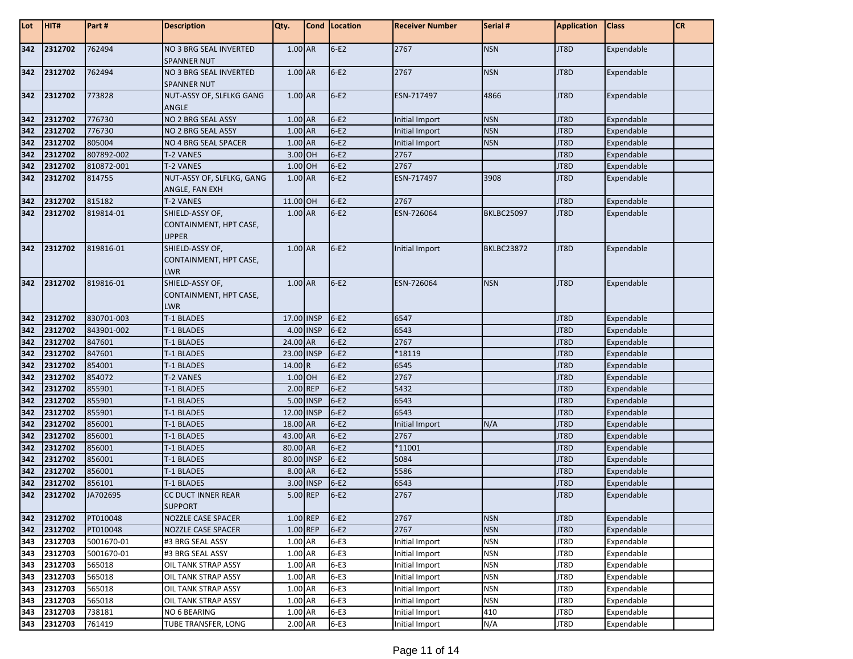| Lot        | HIT#               | Part#              | <b>Description</b>                                        | Qty.       |           | <b>Cond</b> Location | <b>Receiver Number</b> | Serial #          | <b>Application</b> | <b>Class</b>             | <b>CR</b> |
|------------|--------------------|--------------------|-----------------------------------------------------------|------------|-----------|----------------------|------------------------|-------------------|--------------------|--------------------------|-----------|
| 342        | 2312702            | 762494             | <b>NO 3 BRG SEAL INVERTED</b><br><b>SPANNER NUT</b>       | 1.00 AR    |           | $6-E2$               | 2767                   | <b>NSN</b>        | JT8D               | Expendable               |           |
| 342        | 2312702            | 762494             | NO 3 BRG SEAL INVERTED<br><b>SPANNER NUT</b>              | 1.00 AR    |           | $6-E2$               | 2767                   | <b>NSN</b>        | JT8D               | Expendable               |           |
| 342        | 2312702            | 773828             | NUT-ASSY OF, SLFLKG GANG<br>ANGLE                         | 1.00 AR    |           | $6-E2$               | ESN-717497             | 4866              | JT8D               | Expendable               |           |
| 342        | 2312702            | 776730             | NO 2 BRG SEAL ASSY                                        | 1.00 AR    |           | $6-E2$               | Initial Import         | <b>NSN</b>        | JT8D               | Expendable               |           |
| 342        | 2312702            | 776730             | NO 2 BRG SEAL ASSY                                        | 1.00 AR    |           | $6-E2$               | Initial Import         | <b>NSN</b>        | JT8D               | Expendable               |           |
| 342        | 2312702            | 805004             | NO 4 BRG SEAL SPACER                                      | 1.00 AR    |           | $6-E2$               | Initial Import         | <b>NSN</b>        | JT8D               | Expendable               |           |
| 342        | 2312702            | 807892-002         | <b>T-2 VANES</b>                                          | 3.00 OH    |           | $6-E2$               | 2767                   |                   | JT8D               | Expendable               |           |
| 342        | 2312702            | 810872-001         | <b>T-2 VANES</b>                                          | 1.00 OH    |           | $6-E2$               | 2767                   |                   | JT8D               | Expendable               |           |
| 342        | 2312702            | 814755             | NUT-ASSY OF, SLFLKG, GANG<br>ANGLE, FAN EXH               | 1.00 AR    |           | $6-E2$               | ESN-717497             | 3908              | JT8D               | Expendable               |           |
| 342        | 2312702            | 815182             | <b>T-2 VANES</b>                                          | 11.00 OH   |           | $6-E2$               | 2767                   |                   | JT8D               | Expendable               |           |
| 342        | 2312702            | 819814-01          | SHIELD-ASSY OF,<br>CONTAINMENT, HPT CASE,<br><b>UPPER</b> | 1.00 AR    |           | $6-E2$               | ESN-726064             | <b>BKLBC25097</b> | JT8D               | Expendable               |           |
| 342        | 2312702            | 819816-01          | SHIELD-ASSY OF,<br>CONTAINMENT, HPT CASE,<br><b>LWR</b>   | 1.00 AR    |           | $6-E2$               | Initial Import         | <b>BKLBC23872</b> | JT8D               | Expendable               |           |
| 342        | 2312702            | 819816-01          | SHIELD-ASSY OF,<br>CONTAINMENT, HPT CASE,<br>LWR          | 1.00 AR    |           | $6-E2$               | ESN-726064             | <b>NSN</b>        | JT8D               | Expendable               |           |
| 342        | 2312702            | 830701-003         | T-1 BLADES                                                | 17.00 INSP |           | $6-E2$               | 6547                   |                   | JT8D               | Expendable               |           |
| 342        | 2312702            | 843901-002         | T-1 BLADES                                                |            | 4.00 INSP | $6-E2$               | 6543                   |                   | JT8D               | Expendable               |           |
| 342        | 2312702            | 847601             | T-1 BLADES                                                | 24.00 AR   |           | $6-E2$               | 2767                   |                   | JT8D               | Expendable               |           |
| 342        | 2312702            | 847601             | T-1 BLADES                                                | 23.00 INSP |           | $6-E2$               | *18119                 |                   | JT8D               | Expendable               |           |
| 342        | 2312702            | 854001             | T-1 BLADES                                                | 14.00 R    |           | $6-E2$               | 6545                   |                   | JT8D               | Expendable               |           |
| 342        | 2312702            | 854072             | <b>T-2 VANES</b>                                          | 1.00 OH    |           | $6-E2$               | 2767                   |                   | JT8D               | Expendable               |           |
| 342        | 2312702            | 855901             | T-1 BLADES                                                | 2.00 REP   |           | $6-E2$               | 5432                   |                   | JT8D               | Expendable               |           |
| 342        | 2312702            | 855901             | T-1 BLADES                                                | 5.00 INSP  |           | $6-E2$               | 6543                   |                   | JT8D               | Expendable               |           |
| 342        | 2312702            | 855901             | T-1 BLADES                                                | 12.00 INSP |           | $6-E2$               | 6543                   |                   | JT8D               | Expendable               |           |
| 342        | 2312702            | 856001             | T-1 BLADES                                                | 18.00 AR   |           | $6-E2$               | Initial Import         | N/A               | JT8D               | Expendable               |           |
| 342        | 2312702            | 856001             | T-1 BLADES                                                | 43.00 AR   |           | $6-E2$               | 2767                   |                   | JT8D               | Expendable               |           |
| 342        | 2312702            | 856001             | T-1 BLADES                                                | 80.00 AR   |           | $6-E2$               | *11001                 |                   | JT8D               | Expendable               |           |
| 342        | 2312702            | 856001             | T-1 BLADES                                                | 80.00 INSP |           | $6-E2$               | 5084                   |                   | JT8D               | Expendable               |           |
| 342        | 2312702            | 856001             | T-1 BLADES                                                | 8.00 AR    |           | $6-E2$               | 5586                   |                   | JT8D               | Expendable               |           |
| 342<br>342 | 2312702<br>2312702 | 856101<br>JA702695 | T-1 BLADES<br>CC DUCT INNER REAR                          | 5.00 REP   | 3.00 INSP | $6-E2$<br>$6-E2$     | 6543<br>2767           |                   | JT8D<br>JT8D       | Expendable<br>Expendable |           |
|            |                    |                    | <b>SUPPORT</b>                                            |            |           |                      |                        |                   |                    |                          |           |
| 342        | 2312702            | PT010048           | <b>NOZZLE CASE SPACER</b>                                 | 1.00 REP   |           | $6-E2$               | 2767                   | <b>NSN</b>        | JT8D               | Expendable               |           |
| 342        | 2312702            | PT010048           | <b>NOZZLE CASE SPACER</b>                                 | 1.00 REP   |           | $6-E2$               | 2767                   | <b>NSN</b>        | JT8D               | Expendable               |           |
| 343        | 2312703            | 5001670-01         | #3 BRG SEAL ASSY                                          | 1.00 AR    |           | $6-E3$               | Initial Import         | <b>NSN</b>        | JT8D               | Expendable               |           |
| 343        | 2312703            | 5001670-01         | #3 BRG SEAL ASSY                                          | 1.00 AR    |           | $6-E3$               | Initial Import         | <b>NSN</b>        | JT8D               | Expendable               |           |
| 343        | 2312703            | 565018             | <b>OIL TANK STRAP ASSY</b>                                | 1.00 AR    |           | $6-E3$               | Initial Import         | <b>NSN</b>        | JT8D               | Expendable               |           |
| 343        | 2312703            | 565018             | <b>OIL TANK STRAP ASSY</b>                                | 1.00 AR    |           | $6-E3$               | Initial Import         | NSN               | JT8D               | Expendable               |           |
| 343<br>343 | 2312703            | 565018             | OIL TANK STRAP ASSY                                       | 1.00 AR    |           | $6-E3$               | Initial Import         | <b>NSN</b>        | JT8D               | Expendable               |           |
|            | 2312703            | 565018             | <b>OIL TANK STRAP ASSY</b>                                | 1.00 AR    |           | $6-E3$               | Initial Import         | <b>NSN</b>        | JT8D               | Expendable               |           |
| 343        | 2312703            | 738181             | NO 6 BEARING                                              | 1.00 AR    |           | $6-E3$               | Initial Import         | 410               | JT8D               | Expendable               |           |
|            | 343 2312703        | 761419             | <b>TUBE TRANSFER, LONG</b>                                | 2.00 AR    |           | $6-E3$               | Initial Import         | N/A               | JT8D               | Expendable               |           |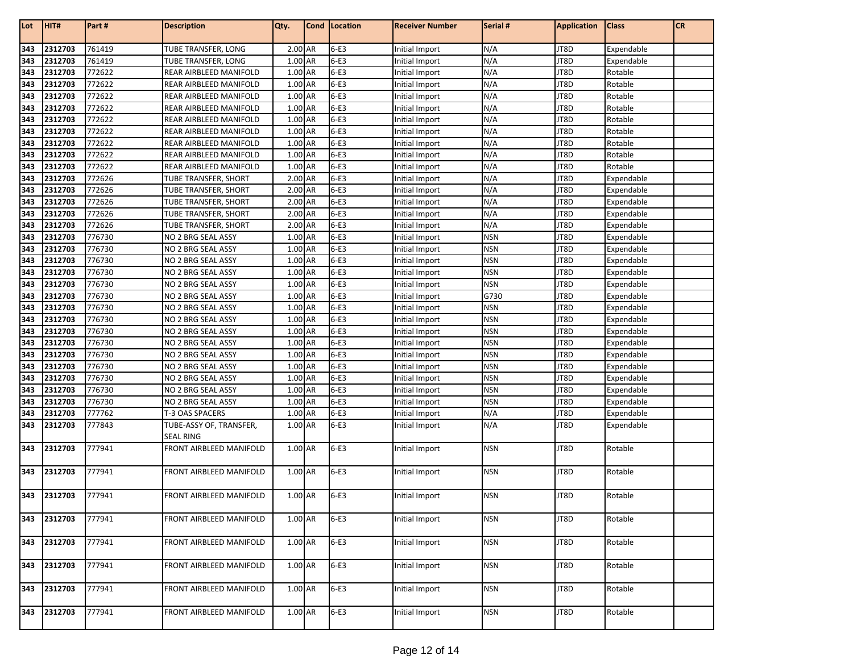| $6-E3$<br>2312703<br>761419<br>TUBE TRANSFER, LONG<br>2.00 AR<br>N/A<br>JT8D<br>Initial Import<br>Expendable<br>343<br>$6-E3$<br>N/A<br>2312703<br>761419<br>1.00 AR<br>JT8D<br>343<br>TUBE TRANSFER, LONG<br>Initial Import<br>Expendable<br>772622<br>1.00 AR<br>$6-E3$<br>N/A<br>343<br>2312703<br>REAR AIRBLEED MANIFOLD<br>JT8D<br>Rotable<br>Initial Import<br>772622<br>1.00 AR<br>$6-E3$<br>N/A<br>Rotable<br>2312703<br>REAR AIRBLEED MANIFOLD<br>JT8D<br>343<br>Initial Import<br>772622<br>$6-E3$<br>N/A<br>1.00 AR<br>JT8D<br>Rotable<br>2312703<br>REAR AIRBLEED MANIFOLD<br>343<br>Initial Import<br>772622<br>$6-E3$<br>N/A<br>2312703<br>1.00 AR<br>JT8D<br>Rotable<br>343<br>REAR AIRBLEED MANIFOLD<br>Initial Import<br>772622<br>$6-E3$<br>N/A<br>1.00 AR<br>JT8D<br>Rotable<br>2312703<br>REAR AIRBLEED MANIFOLD<br>343<br>Initial Import<br>772622<br>$6-E3$<br>N/A<br>2312703<br>1.00 AR<br>JT8D<br>Rotable<br>343<br>REAR AIRBLEED MANIFOLD<br>Initial Import<br>2312703<br>772622<br>1.00 AR<br>$6-E3$<br>N/A<br>JT8D<br>Rotable<br>343<br>REAR AIRBLEED MANIFOLD<br>Initial Import<br>772622<br>$6-E3$<br>N/A<br>1.00 AR<br>JT8D<br>Rotable<br>2312703<br>REAR AIRBLEED MANIFOLD<br>343<br>Initial Import<br>772622<br>$6-E3$<br>N/A<br>2312703<br>1.00 AR<br>JT8D<br>Rotable<br>343<br>REAR AIRBLEED MANIFOLD<br>Initial Import<br>772626<br>$6-E3$<br>N/A<br>2312703<br>2.00 AR<br>JT8D<br>Expendable<br>343<br>TUBE TRANSFER, SHORT<br>Initial Import<br>$6-E3$<br>N/A<br>2312703<br>772626<br>2.00 AR<br>JT8D<br>343<br><b>TUBE TRANSFER, SHORT</b><br>Initial Import<br>Expendable<br>772626<br>2.00 AR<br>$6-E3$<br>N/A<br>343<br>2312703<br>JT8D<br>Expendable<br>TUBE TRANSFER, SHORT<br>Initial Import<br>$6-E3$<br>2312703<br>772626<br>2.00 AR<br>N/A<br>343<br>TUBE TRANSFER, SHORT<br>Initial Import<br>JT8D<br>Expendable<br>$6-E3$<br>N/A<br>772626<br>2.00 AR<br>JT8D<br>343<br>2312703<br>Expendable<br>TUBE TRANSFER, SHORT<br>Initial Import<br>$6-E3$<br>776730<br><b>NSN</b><br>JT8D<br>2312703<br>NO 2 BRG SEAL ASSY<br>1.00 AR<br>Expendable<br>343<br>Initial Import<br>$6-E3$<br>776730<br>1.00 AR<br>2312703<br>NO 2 BRG SEAL ASSY<br><b>NSN</b><br>JT8D<br>Expendable<br>343<br>Initial Import<br>776730<br>$6-E3$<br>2312703<br>1.00 AR<br><b>NSN</b><br>JT8D<br>343<br>NO 2 BRG SEAL ASSY<br>Initial Import<br>Expendable<br>2312703<br>776730<br>1.00 AR<br>$6-E3$<br><b>NSN</b><br>JT8D<br>343<br>NO 2 BRG SEAL ASSY<br>Initial Import<br>Expendable<br>$6-E3$<br>776730<br>1.00 AR<br><b>NSN</b><br>JT8D<br>2312703<br>343<br>NO 2 BRG SEAL ASSY<br>Initial Import<br>Expendable<br>776730<br>$6-E3$<br>G730<br>2312703<br>1.00 AR<br>JT8D<br>NO 2 BRG SEAL ASSY<br>Expendable<br>343<br>Initial Import<br>$6-E3$<br>2312703<br>776730<br>1.00 AR<br><b>NSN</b><br>JT8D<br>343<br>NO 2 BRG SEAL ASSY<br>Initial Import<br>Expendable<br>$6-E3$<br>2312703<br>776730<br><b>NSN</b><br>1.00 AR<br>JT8D<br>343<br>NO 2 BRG SEAL ASSY<br>Expendable<br>Initial Import<br>$6-E3$<br>2312703<br>776730<br>1.00 AR<br><b>NSN</b><br>JT8D<br>343<br>NO 2 BRG SEAL ASSY<br>Initial Import<br>Expendable<br>$6-E3$<br>2312703<br>776730<br>1.00 AR<br>343<br>NO 2 BRG SEAL ASSY<br>Initial Import<br><b>NSN</b><br>JT8D<br>Expendable<br>$6-E3$<br>776730<br>1.00 AR<br><b>NSN</b><br>JT8D<br>343<br>2312703<br>NO 2 BRG SEAL ASSY<br>Expendable<br>Initial Import<br>776730<br>$6-E3$<br>2312703<br>NO 2 BRG SEAL ASSY<br>1.00 AR<br><b>NSN</b><br>JT8D<br>Expendable<br>343<br>Initial Import<br>$6-E3$<br>776730<br>1.00 AR<br><b>NSN</b><br>JT8D<br>343<br>2312703<br>NO 2 BRG SEAL ASSY<br>Initial Import<br>Expendable<br>$6-E3$<br>2312703<br>776730<br>1.00 AR<br><b>NSN</b><br>JT8D<br>343<br>NO 2 BRG SEAL ASSY<br>Initial Import<br>Expendable<br>$6-E3$<br>2312703<br>776730<br>1.00 AR<br><b>NSN</b><br>JT8D<br>343<br>NO 2 BRG SEAL ASSY<br>Initial Import<br>Expendable<br>1.00 AR<br>$6-E3$<br>2312703<br>777762<br>T-3 OAS SPACERS<br>N/A<br>JT8D<br>Expendable<br>343<br>Initial Import<br>$6-E3$<br>777843<br>1.00 AR<br>N/A<br>JT8D<br>2312703<br>TUBE-ASSY OF, TRANSFER,<br>343<br>Initial Import<br>Expendable<br><b>SEAL RING</b><br>777941<br>FRONT AIRBLEED MANIFOLD<br>$6-E3$<br>2312703<br>1.00 AR<br><b>NSN</b><br>JT8D<br>Rotable<br>343<br>Initial Import<br>$6-E3$<br>1.00 AR<br>343<br>2312703<br>777941<br>FRONT AIRBLEED MANIFOLD<br>JT8D<br>Rotable<br>Initial Import<br><b>NSN</b><br>777941<br>$6-E3$<br>JT8D<br>2312703<br>1.00 AR<br><b>NSN</b><br>Rotable<br>343<br>FRONT AIRBLEED MANIFOLD<br>Initial Import<br>$6-E3$<br>343<br>2312703<br>777941<br>1.00 AR<br><b>NSN</b><br>JT8D<br>Rotable<br>FRONT AIRBLEED MANIFOLD<br>Initial Import<br>1.00 AR<br>$6-E3$<br>2312703<br>777941<br>FRONT AIRBLEED MANIFOLD<br>JT8D<br>Rotable<br>343<br>Initial Import<br><b>NSN</b><br>$6-E3$<br>2312703<br>777941<br>FRONT AIRBLEED MANIFOLD<br>1.00 AR<br>JT8D<br>Rotable<br>343<br>Initial Import<br><b>NSN</b><br>$6-E3$<br>2312703<br>777941<br>FRONT AIRBLEED MANIFOLD<br>1.00 AR<br>Initial Import<br>JT8D<br>Rotable<br>343<br><b>NSN</b><br>777941<br>$6-E3$<br>JT8D<br>Rotable<br>2312703<br>1.00 AR<br><b>NSN</b><br>343<br>FRONT AIRBLEED MANIFOLD<br>Initial Import | Lot | HIT# | Part# | <b>Description</b> | Qty. | Cond | Location | <b>Receiver Number</b> | Serial # | <b>Application</b> | <b>Class</b> | <b>CR</b> |
|-----------------------------------------------------------------------------------------------------------------------------------------------------------------------------------------------------------------------------------------------------------------------------------------------------------------------------------------------------------------------------------------------------------------------------------------------------------------------------------------------------------------------------------------------------------------------------------------------------------------------------------------------------------------------------------------------------------------------------------------------------------------------------------------------------------------------------------------------------------------------------------------------------------------------------------------------------------------------------------------------------------------------------------------------------------------------------------------------------------------------------------------------------------------------------------------------------------------------------------------------------------------------------------------------------------------------------------------------------------------------------------------------------------------------------------------------------------------------------------------------------------------------------------------------------------------------------------------------------------------------------------------------------------------------------------------------------------------------------------------------------------------------------------------------------------------------------------------------------------------------------------------------------------------------------------------------------------------------------------------------------------------------------------------------------------------------------------------------------------------------------------------------------------------------------------------------------------------------------------------------------------------------------------------------------------------------------------------------------------------------------------------------------------------------------------------------------------------------------------------------------------------------------------------------------------------------------------------------------------------------------------------------------------------------------------------------------------------------------------------------------------------------------------------------------------------------------------------------------------------------------------------------------------------------------------------------------------------------------------------------------------------------------------------------------------------------------------------------------------------------------------------------------------------------------------------------------------------------------------------------------------------------------------------------------------------------------------------------------------------------------------------------------------------------------------------------------------------------------------------------------------------------------------------------------------------------------------------------------------------------------------------------------------------------------------------------------------------------------------------------------------------------------------------------------------------------------------------------------------------------------------------------------------------------------------------------------------------------------------------------------------------------------------------------------------------------------------------------------------------------------------------------------------------------------------------------------------------------------------------------------------------------------------------------------------------------------------------------------------------------------------------------------------------------------------------------------------------------------------------------------------------------------------------------------------------------------------------------------------------------------------------------------------------------------------------------------------------------------------------------------------------------------------------------------------------------------------------------------------------------------------------------------------------------------------------------------------------------------------------------------------------------------------------------------------------------------------------------------------------------------------------------------------------------------------------------------------------------------------------------------------------|-----|------|-------|--------------------|------|------|----------|------------------------|----------|--------------------|--------------|-----------|
|                                                                                                                                                                                                                                                                                                                                                                                                                                                                                                                                                                                                                                                                                                                                                                                                                                                                                                                                                                                                                                                                                                                                                                                                                                                                                                                                                                                                                                                                                                                                                                                                                                                                                                                                                                                                                                                                                                                                                                                                                                                                                                                                                                                                                                                                                                                                                                                                                                                                                                                                                                                                                                                                                                                                                                                                                                                                                                                                                                                                                                                                                                                                                                                                                                                                                                                                                                                                                                                                                                                                                                                                                                                                                                                                                                                                                                                                                                                                                                                                                                                                                                                                                                                                                                                                                                                                                                                                                                                                                                                                                                                                                                                                                                                                                                                                                                                                                                                                                                                                                                                                                                                                                                                                                                                                 |     |      |       |                    |      |      |          |                        |          |                    |              |           |
|                                                                                                                                                                                                                                                                                                                                                                                                                                                                                                                                                                                                                                                                                                                                                                                                                                                                                                                                                                                                                                                                                                                                                                                                                                                                                                                                                                                                                                                                                                                                                                                                                                                                                                                                                                                                                                                                                                                                                                                                                                                                                                                                                                                                                                                                                                                                                                                                                                                                                                                                                                                                                                                                                                                                                                                                                                                                                                                                                                                                                                                                                                                                                                                                                                                                                                                                                                                                                                                                                                                                                                                                                                                                                                                                                                                                                                                                                                                                                                                                                                                                                                                                                                                                                                                                                                                                                                                                                                                                                                                                                                                                                                                                                                                                                                                                                                                                                                                                                                                                                                                                                                                                                                                                                                                                 |     |      |       |                    |      |      |          |                        |          |                    |              |           |
|                                                                                                                                                                                                                                                                                                                                                                                                                                                                                                                                                                                                                                                                                                                                                                                                                                                                                                                                                                                                                                                                                                                                                                                                                                                                                                                                                                                                                                                                                                                                                                                                                                                                                                                                                                                                                                                                                                                                                                                                                                                                                                                                                                                                                                                                                                                                                                                                                                                                                                                                                                                                                                                                                                                                                                                                                                                                                                                                                                                                                                                                                                                                                                                                                                                                                                                                                                                                                                                                                                                                                                                                                                                                                                                                                                                                                                                                                                                                                                                                                                                                                                                                                                                                                                                                                                                                                                                                                                                                                                                                                                                                                                                                                                                                                                                                                                                                                                                                                                                                                                                                                                                                                                                                                                                                 |     |      |       |                    |      |      |          |                        |          |                    |              |           |
|                                                                                                                                                                                                                                                                                                                                                                                                                                                                                                                                                                                                                                                                                                                                                                                                                                                                                                                                                                                                                                                                                                                                                                                                                                                                                                                                                                                                                                                                                                                                                                                                                                                                                                                                                                                                                                                                                                                                                                                                                                                                                                                                                                                                                                                                                                                                                                                                                                                                                                                                                                                                                                                                                                                                                                                                                                                                                                                                                                                                                                                                                                                                                                                                                                                                                                                                                                                                                                                                                                                                                                                                                                                                                                                                                                                                                                                                                                                                                                                                                                                                                                                                                                                                                                                                                                                                                                                                                                                                                                                                                                                                                                                                                                                                                                                                                                                                                                                                                                                                                                                                                                                                                                                                                                                                 |     |      |       |                    |      |      |          |                        |          |                    |              |           |
|                                                                                                                                                                                                                                                                                                                                                                                                                                                                                                                                                                                                                                                                                                                                                                                                                                                                                                                                                                                                                                                                                                                                                                                                                                                                                                                                                                                                                                                                                                                                                                                                                                                                                                                                                                                                                                                                                                                                                                                                                                                                                                                                                                                                                                                                                                                                                                                                                                                                                                                                                                                                                                                                                                                                                                                                                                                                                                                                                                                                                                                                                                                                                                                                                                                                                                                                                                                                                                                                                                                                                                                                                                                                                                                                                                                                                                                                                                                                                                                                                                                                                                                                                                                                                                                                                                                                                                                                                                                                                                                                                                                                                                                                                                                                                                                                                                                                                                                                                                                                                                                                                                                                                                                                                                                                 |     |      |       |                    |      |      |          |                        |          |                    |              |           |
|                                                                                                                                                                                                                                                                                                                                                                                                                                                                                                                                                                                                                                                                                                                                                                                                                                                                                                                                                                                                                                                                                                                                                                                                                                                                                                                                                                                                                                                                                                                                                                                                                                                                                                                                                                                                                                                                                                                                                                                                                                                                                                                                                                                                                                                                                                                                                                                                                                                                                                                                                                                                                                                                                                                                                                                                                                                                                                                                                                                                                                                                                                                                                                                                                                                                                                                                                                                                                                                                                                                                                                                                                                                                                                                                                                                                                                                                                                                                                                                                                                                                                                                                                                                                                                                                                                                                                                                                                                                                                                                                                                                                                                                                                                                                                                                                                                                                                                                                                                                                                                                                                                                                                                                                                                                                 |     |      |       |                    |      |      |          |                        |          |                    |              |           |
|                                                                                                                                                                                                                                                                                                                                                                                                                                                                                                                                                                                                                                                                                                                                                                                                                                                                                                                                                                                                                                                                                                                                                                                                                                                                                                                                                                                                                                                                                                                                                                                                                                                                                                                                                                                                                                                                                                                                                                                                                                                                                                                                                                                                                                                                                                                                                                                                                                                                                                                                                                                                                                                                                                                                                                                                                                                                                                                                                                                                                                                                                                                                                                                                                                                                                                                                                                                                                                                                                                                                                                                                                                                                                                                                                                                                                                                                                                                                                                                                                                                                                                                                                                                                                                                                                                                                                                                                                                                                                                                                                                                                                                                                                                                                                                                                                                                                                                                                                                                                                                                                                                                                                                                                                                                                 |     |      |       |                    |      |      |          |                        |          |                    |              |           |
|                                                                                                                                                                                                                                                                                                                                                                                                                                                                                                                                                                                                                                                                                                                                                                                                                                                                                                                                                                                                                                                                                                                                                                                                                                                                                                                                                                                                                                                                                                                                                                                                                                                                                                                                                                                                                                                                                                                                                                                                                                                                                                                                                                                                                                                                                                                                                                                                                                                                                                                                                                                                                                                                                                                                                                                                                                                                                                                                                                                                                                                                                                                                                                                                                                                                                                                                                                                                                                                                                                                                                                                                                                                                                                                                                                                                                                                                                                                                                                                                                                                                                                                                                                                                                                                                                                                                                                                                                                                                                                                                                                                                                                                                                                                                                                                                                                                                                                                                                                                                                                                                                                                                                                                                                                                                 |     |      |       |                    |      |      |          |                        |          |                    |              |           |
|                                                                                                                                                                                                                                                                                                                                                                                                                                                                                                                                                                                                                                                                                                                                                                                                                                                                                                                                                                                                                                                                                                                                                                                                                                                                                                                                                                                                                                                                                                                                                                                                                                                                                                                                                                                                                                                                                                                                                                                                                                                                                                                                                                                                                                                                                                                                                                                                                                                                                                                                                                                                                                                                                                                                                                                                                                                                                                                                                                                                                                                                                                                                                                                                                                                                                                                                                                                                                                                                                                                                                                                                                                                                                                                                                                                                                                                                                                                                                                                                                                                                                                                                                                                                                                                                                                                                                                                                                                                                                                                                                                                                                                                                                                                                                                                                                                                                                                                                                                                                                                                                                                                                                                                                                                                                 |     |      |       |                    |      |      |          |                        |          |                    |              |           |
|                                                                                                                                                                                                                                                                                                                                                                                                                                                                                                                                                                                                                                                                                                                                                                                                                                                                                                                                                                                                                                                                                                                                                                                                                                                                                                                                                                                                                                                                                                                                                                                                                                                                                                                                                                                                                                                                                                                                                                                                                                                                                                                                                                                                                                                                                                                                                                                                                                                                                                                                                                                                                                                                                                                                                                                                                                                                                                                                                                                                                                                                                                                                                                                                                                                                                                                                                                                                                                                                                                                                                                                                                                                                                                                                                                                                                                                                                                                                                                                                                                                                                                                                                                                                                                                                                                                                                                                                                                                                                                                                                                                                                                                                                                                                                                                                                                                                                                                                                                                                                                                                                                                                                                                                                                                                 |     |      |       |                    |      |      |          |                        |          |                    |              |           |
|                                                                                                                                                                                                                                                                                                                                                                                                                                                                                                                                                                                                                                                                                                                                                                                                                                                                                                                                                                                                                                                                                                                                                                                                                                                                                                                                                                                                                                                                                                                                                                                                                                                                                                                                                                                                                                                                                                                                                                                                                                                                                                                                                                                                                                                                                                                                                                                                                                                                                                                                                                                                                                                                                                                                                                                                                                                                                                                                                                                                                                                                                                                                                                                                                                                                                                                                                                                                                                                                                                                                                                                                                                                                                                                                                                                                                                                                                                                                                                                                                                                                                                                                                                                                                                                                                                                                                                                                                                                                                                                                                                                                                                                                                                                                                                                                                                                                                                                                                                                                                                                                                                                                                                                                                                                                 |     |      |       |                    |      |      |          |                        |          |                    |              |           |
|                                                                                                                                                                                                                                                                                                                                                                                                                                                                                                                                                                                                                                                                                                                                                                                                                                                                                                                                                                                                                                                                                                                                                                                                                                                                                                                                                                                                                                                                                                                                                                                                                                                                                                                                                                                                                                                                                                                                                                                                                                                                                                                                                                                                                                                                                                                                                                                                                                                                                                                                                                                                                                                                                                                                                                                                                                                                                                                                                                                                                                                                                                                                                                                                                                                                                                                                                                                                                                                                                                                                                                                                                                                                                                                                                                                                                                                                                                                                                                                                                                                                                                                                                                                                                                                                                                                                                                                                                                                                                                                                                                                                                                                                                                                                                                                                                                                                                                                                                                                                                                                                                                                                                                                                                                                                 |     |      |       |                    |      |      |          |                        |          |                    |              |           |
|                                                                                                                                                                                                                                                                                                                                                                                                                                                                                                                                                                                                                                                                                                                                                                                                                                                                                                                                                                                                                                                                                                                                                                                                                                                                                                                                                                                                                                                                                                                                                                                                                                                                                                                                                                                                                                                                                                                                                                                                                                                                                                                                                                                                                                                                                                                                                                                                                                                                                                                                                                                                                                                                                                                                                                                                                                                                                                                                                                                                                                                                                                                                                                                                                                                                                                                                                                                                                                                                                                                                                                                                                                                                                                                                                                                                                                                                                                                                                                                                                                                                                                                                                                                                                                                                                                                                                                                                                                                                                                                                                                                                                                                                                                                                                                                                                                                                                                                                                                                                                                                                                                                                                                                                                                                                 |     |      |       |                    |      |      |          |                        |          |                    |              |           |
|                                                                                                                                                                                                                                                                                                                                                                                                                                                                                                                                                                                                                                                                                                                                                                                                                                                                                                                                                                                                                                                                                                                                                                                                                                                                                                                                                                                                                                                                                                                                                                                                                                                                                                                                                                                                                                                                                                                                                                                                                                                                                                                                                                                                                                                                                                                                                                                                                                                                                                                                                                                                                                                                                                                                                                                                                                                                                                                                                                                                                                                                                                                                                                                                                                                                                                                                                                                                                                                                                                                                                                                                                                                                                                                                                                                                                                                                                                                                                                                                                                                                                                                                                                                                                                                                                                                                                                                                                                                                                                                                                                                                                                                                                                                                                                                                                                                                                                                                                                                                                                                                                                                                                                                                                                                                 |     |      |       |                    |      |      |          |                        |          |                    |              |           |
|                                                                                                                                                                                                                                                                                                                                                                                                                                                                                                                                                                                                                                                                                                                                                                                                                                                                                                                                                                                                                                                                                                                                                                                                                                                                                                                                                                                                                                                                                                                                                                                                                                                                                                                                                                                                                                                                                                                                                                                                                                                                                                                                                                                                                                                                                                                                                                                                                                                                                                                                                                                                                                                                                                                                                                                                                                                                                                                                                                                                                                                                                                                                                                                                                                                                                                                                                                                                                                                                                                                                                                                                                                                                                                                                                                                                                                                                                                                                                                                                                                                                                                                                                                                                                                                                                                                                                                                                                                                                                                                                                                                                                                                                                                                                                                                                                                                                                                                                                                                                                                                                                                                                                                                                                                                                 |     |      |       |                    |      |      |          |                        |          |                    |              |           |
|                                                                                                                                                                                                                                                                                                                                                                                                                                                                                                                                                                                                                                                                                                                                                                                                                                                                                                                                                                                                                                                                                                                                                                                                                                                                                                                                                                                                                                                                                                                                                                                                                                                                                                                                                                                                                                                                                                                                                                                                                                                                                                                                                                                                                                                                                                                                                                                                                                                                                                                                                                                                                                                                                                                                                                                                                                                                                                                                                                                                                                                                                                                                                                                                                                                                                                                                                                                                                                                                                                                                                                                                                                                                                                                                                                                                                                                                                                                                                                                                                                                                                                                                                                                                                                                                                                                                                                                                                                                                                                                                                                                                                                                                                                                                                                                                                                                                                                                                                                                                                                                                                                                                                                                                                                                                 |     |      |       |                    |      |      |          |                        |          |                    |              |           |
|                                                                                                                                                                                                                                                                                                                                                                                                                                                                                                                                                                                                                                                                                                                                                                                                                                                                                                                                                                                                                                                                                                                                                                                                                                                                                                                                                                                                                                                                                                                                                                                                                                                                                                                                                                                                                                                                                                                                                                                                                                                                                                                                                                                                                                                                                                                                                                                                                                                                                                                                                                                                                                                                                                                                                                                                                                                                                                                                                                                                                                                                                                                                                                                                                                                                                                                                                                                                                                                                                                                                                                                                                                                                                                                                                                                                                                                                                                                                                                                                                                                                                                                                                                                                                                                                                                                                                                                                                                                                                                                                                                                                                                                                                                                                                                                                                                                                                                                                                                                                                                                                                                                                                                                                                                                                 |     |      |       |                    |      |      |          |                        |          |                    |              |           |
|                                                                                                                                                                                                                                                                                                                                                                                                                                                                                                                                                                                                                                                                                                                                                                                                                                                                                                                                                                                                                                                                                                                                                                                                                                                                                                                                                                                                                                                                                                                                                                                                                                                                                                                                                                                                                                                                                                                                                                                                                                                                                                                                                                                                                                                                                                                                                                                                                                                                                                                                                                                                                                                                                                                                                                                                                                                                                                                                                                                                                                                                                                                                                                                                                                                                                                                                                                                                                                                                                                                                                                                                                                                                                                                                                                                                                                                                                                                                                                                                                                                                                                                                                                                                                                                                                                                                                                                                                                                                                                                                                                                                                                                                                                                                                                                                                                                                                                                                                                                                                                                                                                                                                                                                                                                                 |     |      |       |                    |      |      |          |                        |          |                    |              |           |
|                                                                                                                                                                                                                                                                                                                                                                                                                                                                                                                                                                                                                                                                                                                                                                                                                                                                                                                                                                                                                                                                                                                                                                                                                                                                                                                                                                                                                                                                                                                                                                                                                                                                                                                                                                                                                                                                                                                                                                                                                                                                                                                                                                                                                                                                                                                                                                                                                                                                                                                                                                                                                                                                                                                                                                                                                                                                                                                                                                                                                                                                                                                                                                                                                                                                                                                                                                                                                                                                                                                                                                                                                                                                                                                                                                                                                                                                                                                                                                                                                                                                                                                                                                                                                                                                                                                                                                                                                                                                                                                                                                                                                                                                                                                                                                                                                                                                                                                                                                                                                                                                                                                                                                                                                                                                 |     |      |       |                    |      |      |          |                        |          |                    |              |           |
|                                                                                                                                                                                                                                                                                                                                                                                                                                                                                                                                                                                                                                                                                                                                                                                                                                                                                                                                                                                                                                                                                                                                                                                                                                                                                                                                                                                                                                                                                                                                                                                                                                                                                                                                                                                                                                                                                                                                                                                                                                                                                                                                                                                                                                                                                                                                                                                                                                                                                                                                                                                                                                                                                                                                                                                                                                                                                                                                                                                                                                                                                                                                                                                                                                                                                                                                                                                                                                                                                                                                                                                                                                                                                                                                                                                                                                                                                                                                                                                                                                                                                                                                                                                                                                                                                                                                                                                                                                                                                                                                                                                                                                                                                                                                                                                                                                                                                                                                                                                                                                                                                                                                                                                                                                                                 |     |      |       |                    |      |      |          |                        |          |                    |              |           |
|                                                                                                                                                                                                                                                                                                                                                                                                                                                                                                                                                                                                                                                                                                                                                                                                                                                                                                                                                                                                                                                                                                                                                                                                                                                                                                                                                                                                                                                                                                                                                                                                                                                                                                                                                                                                                                                                                                                                                                                                                                                                                                                                                                                                                                                                                                                                                                                                                                                                                                                                                                                                                                                                                                                                                                                                                                                                                                                                                                                                                                                                                                                                                                                                                                                                                                                                                                                                                                                                                                                                                                                                                                                                                                                                                                                                                                                                                                                                                                                                                                                                                                                                                                                                                                                                                                                                                                                                                                                                                                                                                                                                                                                                                                                                                                                                                                                                                                                                                                                                                                                                                                                                                                                                                                                                 |     |      |       |                    |      |      |          |                        |          |                    |              |           |
|                                                                                                                                                                                                                                                                                                                                                                                                                                                                                                                                                                                                                                                                                                                                                                                                                                                                                                                                                                                                                                                                                                                                                                                                                                                                                                                                                                                                                                                                                                                                                                                                                                                                                                                                                                                                                                                                                                                                                                                                                                                                                                                                                                                                                                                                                                                                                                                                                                                                                                                                                                                                                                                                                                                                                                                                                                                                                                                                                                                                                                                                                                                                                                                                                                                                                                                                                                                                                                                                                                                                                                                                                                                                                                                                                                                                                                                                                                                                                                                                                                                                                                                                                                                                                                                                                                                                                                                                                                                                                                                                                                                                                                                                                                                                                                                                                                                                                                                                                                                                                                                                                                                                                                                                                                                                 |     |      |       |                    |      |      |          |                        |          |                    |              |           |
|                                                                                                                                                                                                                                                                                                                                                                                                                                                                                                                                                                                                                                                                                                                                                                                                                                                                                                                                                                                                                                                                                                                                                                                                                                                                                                                                                                                                                                                                                                                                                                                                                                                                                                                                                                                                                                                                                                                                                                                                                                                                                                                                                                                                                                                                                                                                                                                                                                                                                                                                                                                                                                                                                                                                                                                                                                                                                                                                                                                                                                                                                                                                                                                                                                                                                                                                                                                                                                                                                                                                                                                                                                                                                                                                                                                                                                                                                                                                                                                                                                                                                                                                                                                                                                                                                                                                                                                                                                                                                                                                                                                                                                                                                                                                                                                                                                                                                                                                                                                                                                                                                                                                                                                                                                                                 |     |      |       |                    |      |      |          |                        |          |                    |              |           |
|                                                                                                                                                                                                                                                                                                                                                                                                                                                                                                                                                                                                                                                                                                                                                                                                                                                                                                                                                                                                                                                                                                                                                                                                                                                                                                                                                                                                                                                                                                                                                                                                                                                                                                                                                                                                                                                                                                                                                                                                                                                                                                                                                                                                                                                                                                                                                                                                                                                                                                                                                                                                                                                                                                                                                                                                                                                                                                                                                                                                                                                                                                                                                                                                                                                                                                                                                                                                                                                                                                                                                                                                                                                                                                                                                                                                                                                                                                                                                                                                                                                                                                                                                                                                                                                                                                                                                                                                                                                                                                                                                                                                                                                                                                                                                                                                                                                                                                                                                                                                                                                                                                                                                                                                                                                                 |     |      |       |                    |      |      |          |                        |          |                    |              |           |
|                                                                                                                                                                                                                                                                                                                                                                                                                                                                                                                                                                                                                                                                                                                                                                                                                                                                                                                                                                                                                                                                                                                                                                                                                                                                                                                                                                                                                                                                                                                                                                                                                                                                                                                                                                                                                                                                                                                                                                                                                                                                                                                                                                                                                                                                                                                                                                                                                                                                                                                                                                                                                                                                                                                                                                                                                                                                                                                                                                                                                                                                                                                                                                                                                                                                                                                                                                                                                                                                                                                                                                                                                                                                                                                                                                                                                                                                                                                                                                                                                                                                                                                                                                                                                                                                                                                                                                                                                                                                                                                                                                                                                                                                                                                                                                                                                                                                                                                                                                                                                                                                                                                                                                                                                                                                 |     |      |       |                    |      |      |          |                        |          |                    |              |           |
|                                                                                                                                                                                                                                                                                                                                                                                                                                                                                                                                                                                                                                                                                                                                                                                                                                                                                                                                                                                                                                                                                                                                                                                                                                                                                                                                                                                                                                                                                                                                                                                                                                                                                                                                                                                                                                                                                                                                                                                                                                                                                                                                                                                                                                                                                                                                                                                                                                                                                                                                                                                                                                                                                                                                                                                                                                                                                                                                                                                                                                                                                                                                                                                                                                                                                                                                                                                                                                                                                                                                                                                                                                                                                                                                                                                                                                                                                                                                                                                                                                                                                                                                                                                                                                                                                                                                                                                                                                                                                                                                                                                                                                                                                                                                                                                                                                                                                                                                                                                                                                                                                                                                                                                                                                                                 |     |      |       |                    |      |      |          |                        |          |                    |              |           |
|                                                                                                                                                                                                                                                                                                                                                                                                                                                                                                                                                                                                                                                                                                                                                                                                                                                                                                                                                                                                                                                                                                                                                                                                                                                                                                                                                                                                                                                                                                                                                                                                                                                                                                                                                                                                                                                                                                                                                                                                                                                                                                                                                                                                                                                                                                                                                                                                                                                                                                                                                                                                                                                                                                                                                                                                                                                                                                                                                                                                                                                                                                                                                                                                                                                                                                                                                                                                                                                                                                                                                                                                                                                                                                                                                                                                                                                                                                                                                                                                                                                                                                                                                                                                                                                                                                                                                                                                                                                                                                                                                                                                                                                                                                                                                                                                                                                                                                                                                                                                                                                                                                                                                                                                                                                                 |     |      |       |                    |      |      |          |                        |          |                    |              |           |
|                                                                                                                                                                                                                                                                                                                                                                                                                                                                                                                                                                                                                                                                                                                                                                                                                                                                                                                                                                                                                                                                                                                                                                                                                                                                                                                                                                                                                                                                                                                                                                                                                                                                                                                                                                                                                                                                                                                                                                                                                                                                                                                                                                                                                                                                                                                                                                                                                                                                                                                                                                                                                                                                                                                                                                                                                                                                                                                                                                                                                                                                                                                                                                                                                                                                                                                                                                                                                                                                                                                                                                                                                                                                                                                                                                                                                                                                                                                                                                                                                                                                                                                                                                                                                                                                                                                                                                                                                                                                                                                                                                                                                                                                                                                                                                                                                                                                                                                                                                                                                                                                                                                                                                                                                                                                 |     |      |       |                    |      |      |          |                        |          |                    |              |           |
|                                                                                                                                                                                                                                                                                                                                                                                                                                                                                                                                                                                                                                                                                                                                                                                                                                                                                                                                                                                                                                                                                                                                                                                                                                                                                                                                                                                                                                                                                                                                                                                                                                                                                                                                                                                                                                                                                                                                                                                                                                                                                                                                                                                                                                                                                                                                                                                                                                                                                                                                                                                                                                                                                                                                                                                                                                                                                                                                                                                                                                                                                                                                                                                                                                                                                                                                                                                                                                                                                                                                                                                                                                                                                                                                                                                                                                                                                                                                                                                                                                                                                                                                                                                                                                                                                                                                                                                                                                                                                                                                                                                                                                                                                                                                                                                                                                                                                                                                                                                                                                                                                                                                                                                                                                                                 |     |      |       |                    |      |      |          |                        |          |                    |              |           |
|                                                                                                                                                                                                                                                                                                                                                                                                                                                                                                                                                                                                                                                                                                                                                                                                                                                                                                                                                                                                                                                                                                                                                                                                                                                                                                                                                                                                                                                                                                                                                                                                                                                                                                                                                                                                                                                                                                                                                                                                                                                                                                                                                                                                                                                                                                                                                                                                                                                                                                                                                                                                                                                                                                                                                                                                                                                                                                                                                                                                                                                                                                                                                                                                                                                                                                                                                                                                                                                                                                                                                                                                                                                                                                                                                                                                                                                                                                                                                                                                                                                                                                                                                                                                                                                                                                                                                                                                                                                                                                                                                                                                                                                                                                                                                                                                                                                                                                                                                                                                                                                                                                                                                                                                                                                                 |     |      |       |                    |      |      |          |                        |          |                    |              |           |
|                                                                                                                                                                                                                                                                                                                                                                                                                                                                                                                                                                                                                                                                                                                                                                                                                                                                                                                                                                                                                                                                                                                                                                                                                                                                                                                                                                                                                                                                                                                                                                                                                                                                                                                                                                                                                                                                                                                                                                                                                                                                                                                                                                                                                                                                                                                                                                                                                                                                                                                                                                                                                                                                                                                                                                                                                                                                                                                                                                                                                                                                                                                                                                                                                                                                                                                                                                                                                                                                                                                                                                                                                                                                                                                                                                                                                                                                                                                                                                                                                                                                                                                                                                                                                                                                                                                                                                                                                                                                                                                                                                                                                                                                                                                                                                                                                                                                                                                                                                                                                                                                                                                                                                                                                                                                 |     |      |       |                    |      |      |          |                        |          |                    |              |           |
|                                                                                                                                                                                                                                                                                                                                                                                                                                                                                                                                                                                                                                                                                                                                                                                                                                                                                                                                                                                                                                                                                                                                                                                                                                                                                                                                                                                                                                                                                                                                                                                                                                                                                                                                                                                                                                                                                                                                                                                                                                                                                                                                                                                                                                                                                                                                                                                                                                                                                                                                                                                                                                                                                                                                                                                                                                                                                                                                                                                                                                                                                                                                                                                                                                                                                                                                                                                                                                                                                                                                                                                                                                                                                                                                                                                                                                                                                                                                                                                                                                                                                                                                                                                                                                                                                                                                                                                                                                                                                                                                                                                                                                                                                                                                                                                                                                                                                                                                                                                                                                                                                                                                                                                                                                                                 |     |      |       |                    |      |      |          |                        |          |                    |              |           |
|                                                                                                                                                                                                                                                                                                                                                                                                                                                                                                                                                                                                                                                                                                                                                                                                                                                                                                                                                                                                                                                                                                                                                                                                                                                                                                                                                                                                                                                                                                                                                                                                                                                                                                                                                                                                                                                                                                                                                                                                                                                                                                                                                                                                                                                                                                                                                                                                                                                                                                                                                                                                                                                                                                                                                                                                                                                                                                                                                                                                                                                                                                                                                                                                                                                                                                                                                                                                                                                                                                                                                                                                                                                                                                                                                                                                                                                                                                                                                                                                                                                                                                                                                                                                                                                                                                                                                                                                                                                                                                                                                                                                                                                                                                                                                                                                                                                                                                                                                                                                                                                                                                                                                                                                                                                                 |     |      |       |                    |      |      |          |                        |          |                    |              |           |
|                                                                                                                                                                                                                                                                                                                                                                                                                                                                                                                                                                                                                                                                                                                                                                                                                                                                                                                                                                                                                                                                                                                                                                                                                                                                                                                                                                                                                                                                                                                                                                                                                                                                                                                                                                                                                                                                                                                                                                                                                                                                                                                                                                                                                                                                                                                                                                                                                                                                                                                                                                                                                                                                                                                                                                                                                                                                                                                                                                                                                                                                                                                                                                                                                                                                                                                                                                                                                                                                                                                                                                                                                                                                                                                                                                                                                                                                                                                                                                                                                                                                                                                                                                                                                                                                                                                                                                                                                                                                                                                                                                                                                                                                                                                                                                                                                                                                                                                                                                                                                                                                                                                                                                                                                                                                 |     |      |       |                    |      |      |          |                        |          |                    |              |           |
|                                                                                                                                                                                                                                                                                                                                                                                                                                                                                                                                                                                                                                                                                                                                                                                                                                                                                                                                                                                                                                                                                                                                                                                                                                                                                                                                                                                                                                                                                                                                                                                                                                                                                                                                                                                                                                                                                                                                                                                                                                                                                                                                                                                                                                                                                                                                                                                                                                                                                                                                                                                                                                                                                                                                                                                                                                                                                                                                                                                                                                                                                                                                                                                                                                                                                                                                                                                                                                                                                                                                                                                                                                                                                                                                                                                                                                                                                                                                                                                                                                                                                                                                                                                                                                                                                                                                                                                                                                                                                                                                                                                                                                                                                                                                                                                                                                                                                                                                                                                                                                                                                                                                                                                                                                                                 |     |      |       |                    |      |      |          |                        |          |                    |              |           |
|                                                                                                                                                                                                                                                                                                                                                                                                                                                                                                                                                                                                                                                                                                                                                                                                                                                                                                                                                                                                                                                                                                                                                                                                                                                                                                                                                                                                                                                                                                                                                                                                                                                                                                                                                                                                                                                                                                                                                                                                                                                                                                                                                                                                                                                                                                                                                                                                                                                                                                                                                                                                                                                                                                                                                                                                                                                                                                                                                                                                                                                                                                                                                                                                                                                                                                                                                                                                                                                                                                                                                                                                                                                                                                                                                                                                                                                                                                                                                                                                                                                                                                                                                                                                                                                                                                                                                                                                                                                                                                                                                                                                                                                                                                                                                                                                                                                                                                                                                                                                                                                                                                                                                                                                                                                                 |     |      |       |                    |      |      |          |                        |          |                    |              |           |
|                                                                                                                                                                                                                                                                                                                                                                                                                                                                                                                                                                                                                                                                                                                                                                                                                                                                                                                                                                                                                                                                                                                                                                                                                                                                                                                                                                                                                                                                                                                                                                                                                                                                                                                                                                                                                                                                                                                                                                                                                                                                                                                                                                                                                                                                                                                                                                                                                                                                                                                                                                                                                                                                                                                                                                                                                                                                                                                                                                                                                                                                                                                                                                                                                                                                                                                                                                                                                                                                                                                                                                                                                                                                                                                                                                                                                                                                                                                                                                                                                                                                                                                                                                                                                                                                                                                                                                                                                                                                                                                                                                                                                                                                                                                                                                                                                                                                                                                                                                                                                                                                                                                                                                                                                                                                 |     |      |       |                    |      |      |          |                        |          |                    |              |           |
|                                                                                                                                                                                                                                                                                                                                                                                                                                                                                                                                                                                                                                                                                                                                                                                                                                                                                                                                                                                                                                                                                                                                                                                                                                                                                                                                                                                                                                                                                                                                                                                                                                                                                                                                                                                                                                                                                                                                                                                                                                                                                                                                                                                                                                                                                                                                                                                                                                                                                                                                                                                                                                                                                                                                                                                                                                                                                                                                                                                                                                                                                                                                                                                                                                                                                                                                                                                                                                                                                                                                                                                                                                                                                                                                                                                                                                                                                                                                                                                                                                                                                                                                                                                                                                                                                                                                                                                                                                                                                                                                                                                                                                                                                                                                                                                                                                                                                                                                                                                                                                                                                                                                                                                                                                                                 |     |      |       |                    |      |      |          |                        |          |                    |              |           |
|                                                                                                                                                                                                                                                                                                                                                                                                                                                                                                                                                                                                                                                                                                                                                                                                                                                                                                                                                                                                                                                                                                                                                                                                                                                                                                                                                                                                                                                                                                                                                                                                                                                                                                                                                                                                                                                                                                                                                                                                                                                                                                                                                                                                                                                                                                                                                                                                                                                                                                                                                                                                                                                                                                                                                                                                                                                                                                                                                                                                                                                                                                                                                                                                                                                                                                                                                                                                                                                                                                                                                                                                                                                                                                                                                                                                                                                                                                                                                                                                                                                                                                                                                                                                                                                                                                                                                                                                                                                                                                                                                                                                                                                                                                                                                                                                                                                                                                                                                                                                                                                                                                                                                                                                                                                                 |     |      |       |                    |      |      |          |                        |          |                    |              |           |
|                                                                                                                                                                                                                                                                                                                                                                                                                                                                                                                                                                                                                                                                                                                                                                                                                                                                                                                                                                                                                                                                                                                                                                                                                                                                                                                                                                                                                                                                                                                                                                                                                                                                                                                                                                                                                                                                                                                                                                                                                                                                                                                                                                                                                                                                                                                                                                                                                                                                                                                                                                                                                                                                                                                                                                                                                                                                                                                                                                                                                                                                                                                                                                                                                                                                                                                                                                                                                                                                                                                                                                                                                                                                                                                                                                                                                                                                                                                                                                                                                                                                                                                                                                                                                                                                                                                                                                                                                                                                                                                                                                                                                                                                                                                                                                                                                                                                                                                                                                                                                                                                                                                                                                                                                                                                 |     |      |       |                    |      |      |          |                        |          |                    |              |           |
|                                                                                                                                                                                                                                                                                                                                                                                                                                                                                                                                                                                                                                                                                                                                                                                                                                                                                                                                                                                                                                                                                                                                                                                                                                                                                                                                                                                                                                                                                                                                                                                                                                                                                                                                                                                                                                                                                                                                                                                                                                                                                                                                                                                                                                                                                                                                                                                                                                                                                                                                                                                                                                                                                                                                                                                                                                                                                                                                                                                                                                                                                                                                                                                                                                                                                                                                                                                                                                                                                                                                                                                                                                                                                                                                                                                                                                                                                                                                                                                                                                                                                                                                                                                                                                                                                                                                                                                                                                                                                                                                                                                                                                                                                                                                                                                                                                                                                                                                                                                                                                                                                                                                                                                                                                                                 |     |      |       |                    |      |      |          |                        |          |                    |              |           |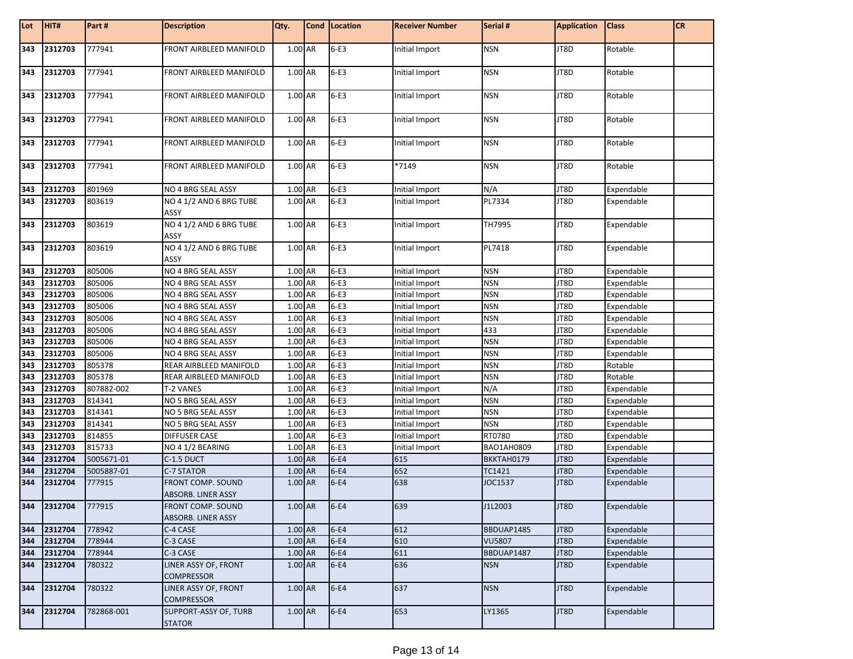| Lot        | HIT#               | Part#                | <b>Description</b>                             | Qty.               | Cond   Location  | <b>Receiver Number</b> | Serial #          | <b>Application</b> | <b>Class</b>             | <b>CR</b> |
|------------|--------------------|----------------------|------------------------------------------------|--------------------|------------------|------------------------|-------------------|--------------------|--------------------------|-----------|
| 343        | 2312703            | 777941               | FRONT AIRBLEED MANIFOLD                        | 1.00 AR            | $6-E3$           | Initial Import         | <b>NSN</b>        | JT8D               | Rotable                  |           |
| 343        | 2312703            | 777941               | FRONT AIRBLEED MANIFOLD                        | 1.00 AR            | $6-E3$           | Initial Import         | <b>NSN</b>        | JT8D               | Rotable                  |           |
| 343        | 2312703            | 777941               | <b>FRONT AIRBLEED MANIFOLD</b>                 | 1.00 AR            | $6-E3$           | Initial Import         | <b>NSN</b>        | JT8D               | Rotable                  |           |
| 343        | 2312703            | 777941               | FRONT AIRBLEED MANIFOLD                        | 1.00 AR            | $6-E3$           | Initial Import         | <b>NSN</b>        | JT8D               | Rotable                  |           |
| 343        | 2312703            | 777941               | FRONT AIRBLEED MANIFOLD                        | 1.00 AR            | $6-E3$           | Initial Import         | <b>NSN</b>        | JT8D               | Rotable                  |           |
| 343        | 2312703            | 777941               | FRONT AIRBLEED MANIFOLD                        | 1.00 AR            | $6-E3$           | *7149                  | <b>NSN</b>        | JT8D               | Rotable                  |           |
| 343        | 2312703            | 801969               | NO 4 BRG SEAL ASSY                             | 1.00 AR            | $6-E3$           | Initial Import         | N/A               | JT8D               | Expendable               |           |
| 343        | 2312703            | 803619               | NO 4 1/2 AND 6 BRG TUBE<br>ASSY                | 1.00 AR            | $6-E3$           | Initial Import         | PL7334            | JT8D               | Expendable               |           |
| 343        | 2312703            | 803619               | NO 4 1/2 AND 6 BRG TUBE<br>ASSY                | 1.00 AR            | $6-E3$           | Initial Import         | TH7995            | JT8D               | Expendable               |           |
| 343        | 2312703            | 803619               | NO 4 1/2 AND 6 BRG TUBE<br>ASSY                | 1.00 AR            | $6-E3$           | Initial Import         | PL7418            | JT8D               | Expendable               |           |
| 343        | 2312703            | 805006               | NO 4 BRG SEAL ASSY                             | 1.00 AR            | $6-E3$           | Initial Import         | <b>NSN</b>        | JT8D               | Expendable               |           |
| 343        | 2312703            | 805006               | NO 4 BRG SEAL ASSY                             | 1.00 AR            | $6-E3$           | Initial Import         | <b>NSN</b>        | JT8D               | Expendable               |           |
| 343        | 2312703            | 805006               | NO 4 BRG SEAL ASSY                             | 1.00 AR            | $6-E3$           | Initial Import         | <b>NSN</b>        | JT8D               | Expendable               |           |
| 343        | 2312703            | 805006               | NO 4 BRG SEAL ASSY                             | 1.00 AR            | $6-E3$           | Initial Import         | <b>NSN</b>        | JT8D               | Expendable               |           |
| 343        | 2312703            | 805006               | NO 4 BRG SEAL ASSY                             | 1.00 AR            | $6-E3$           | Initial Import         | <b>NSN</b>        | JT8D               | Expendable               |           |
| 343        | 2312703            | 805006               | NO 4 BRG SEAL ASSY                             | 1.00 AR            | $6-E3$           | Initial Import         | 433               | JT8D               | Expendable               |           |
| 343        | 2312703            | 805006               | NO 4 BRG SEAL ASSY                             | 1.00 AR            | $6-E3$           | Initial Import         | <b>NSN</b>        | JT8D               | Expendable               |           |
| 343        | 2312703            | 805006               | NO 4 BRG SEAL ASSY                             | 1.00 AR            | $6-E3$           | Initial Import         | <b>NSN</b>        | JT8D               | Expendable               |           |
| 343        | 2312703            | 805378               | REAR AIRBLEED MANIFOLD                         | 1.00 AR            | $6-E3$           | Initial Import         | <b>NSN</b>        | JT8D               | Rotable                  |           |
| 343        | 2312703            | 805378               | REAR AIRBLEED MANIFOLD                         | 1.00 AR            | $6-E3$           | Initial Import         | <b>NSN</b>        | JT8D               | Rotable                  |           |
| 343        | 2312703            | 807882-002           | T-2 VANES                                      | 1.00 AR            | $6-E3$           | Initial Import         | N/A               | JT8D               | Expendable               |           |
| 343        | 2312703            | 814341               | NO 5 BRG SEAL ASSY                             | 1.00 AR            | $6-E3$           | Initial Import         | <b>NSN</b>        | JT8D               | Expendable               |           |
| 343        | 2312703            | 814341               | NO 5 BRG SEAL ASSY                             | 1.00 AR            | $6-E3$           | Initial Import         | <b>NSN</b>        | JT8D               | Expendable               |           |
| 343        | 2312703            | 814341               | NO 5 BRG SEAL ASSY                             | 1.00 AR            | $6-E3$           | Initial Import         | <b>NSN</b>        | JT8D               | Expendable               |           |
| 343        | 2312703            | 814855               | <b>DIFFUSER CASE</b>                           | 1.00 AR            | $6-E3$           | Initial Import         | RT0780            | JT8D               | Expendable               |           |
| 343        | 2312703            | 815733               | NO 4 1/2 BEARING                               | 1.00 AR            | $6-E3$           | Initial Import         | BAO1AH0809        | JT8D               | Expendable               |           |
| 344<br>344 | 2312704            | 5005671-01           | C-1.5 DUCT                                     | 1.00 AR            | $6-E4$           | 615                    | BKKTAH0179        | JT8D               | Expendable               |           |
| 344        | 2312704<br>2312704 | 5005887-01<br>777915 | <b>C-7 STATOR</b><br>FRONT COMP. SOUND         | 1.00 AR<br>1.00 AR | $6-E4$<br>$6-E4$ | 652<br>638             | TC1421<br>JOC1537 | JT8D<br>JT8D       | Expendable<br>Expendable |           |
|            |                    |                      | ABSORB. LINER ASSY                             |                    |                  |                        |                   |                    |                          |           |
| 344        | 2312704            | 777915               | <b>FRONT COMP. SOUND</b><br>ABSORB. LINER ASSY | 1.00 AR            | $6-E4$           | 639                    | J1L2003           | JT8D               | Expendable               |           |
| 344        | 2312704            | 778942               | C-4 CASE                                       | 1.00 AR            | $6-E4$           | 612                    | BBDUAP1485        | JT8D               | Expendable               |           |
| 344        | 2312704            | 778944               | C-3 CASE                                       | 1.00 AR            | $6-E4$           | 610                    | <b>VU5807</b>     | JT8D               | Expendable               |           |
| 344        | 2312704            | 778944               | C-3 CASE                                       | 1.00 AR            | $6-E4$           | 611                    | BBDUAP1487        | JT8D               | Expendable               |           |
| 344        | 2312704            | 780322               | LINER ASSY OF, FRONT<br><b>COMPRESSOR</b>      | 1.00 AR            | $6-E4$           | 636                    | <b>NSN</b>        | JT8D               | Expendable               |           |
| 344        | 2312704            | 780322               | LINER ASSY OF, FRONT<br><b>COMPRESSOR</b>      | 1.00 AR            | $6-E4$           | 637                    | <b>NSN</b>        | JT8D               | Expendable               |           |
| 344        | 2312704            | 782868-001           | SUPPORT-ASSY OF, TURB<br><b>STATOR</b>         | 1.00 AR            | $6-E4$           | 653                    | LY1365            | JT8D               | Expendable               |           |